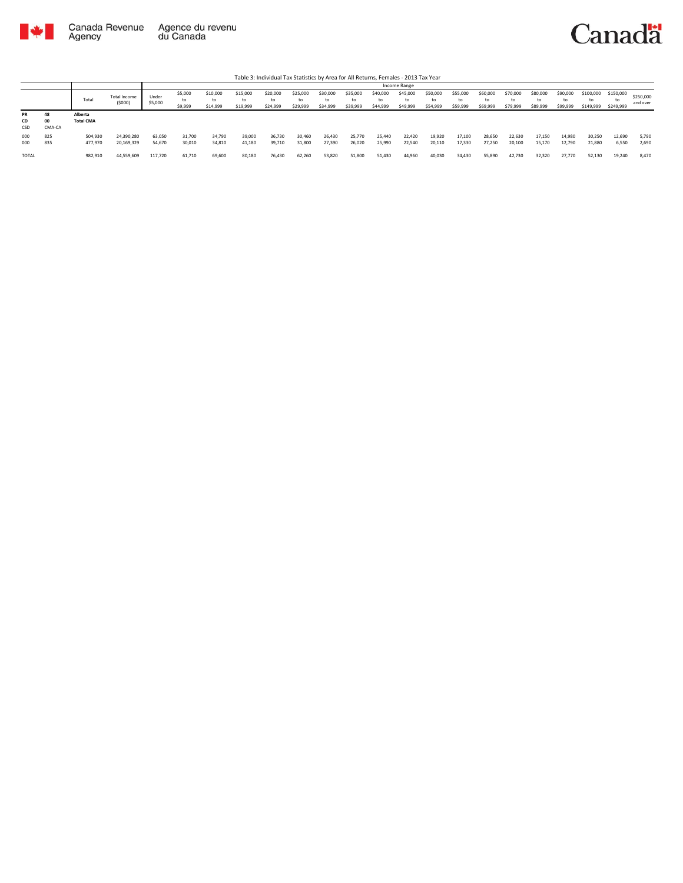

|                        |                                |                             |                               |                  |                          |                            |                            |                      |                            |                            |                      |                            | Income Range               |                            |                            |                            |                            |                            |                            |                              |                              |                       |
|------------------------|--------------------------------|-----------------------------|-------------------------------|------------------|--------------------------|----------------------------|----------------------------|----------------------|----------------------------|----------------------------|----------------------|----------------------------|----------------------------|----------------------------|----------------------------|----------------------------|----------------------------|----------------------------|----------------------------|------------------------------|------------------------------|-----------------------|
|                        |                                | Total                       | <b>Total Income</b><br>(5000) | Under<br>\$5,000 | \$5,000<br>to<br>\$9,999 | \$10,000<br>to<br>\$14,999 | \$15,000<br>to<br>\$19,999 | \$20,000<br>\$24,999 | \$25,000<br>to<br>\$29,999 | \$30,000<br>t٥<br>\$34,999 | \$35,000<br>\$39,999 | \$40,000<br>to<br>\$44,999 | \$45,000<br>to<br>\$49,999 | \$50,000<br>to<br>\$54,999 | \$55,000<br>to<br>\$59,999 | \$60,000<br>to<br>\$69,999 | \$70,000<br>to<br>\$79,999 | \$80,000<br>to<br>\$89,999 | \$90,000<br>to<br>\$99,999 | \$100,000<br>to<br>\$149,999 | \$150,000<br>to<br>\$249,999 | \$250,000<br>and over |
| <b>PR</b><br>CD<br>CSD | 48<br>O <sub>O</sub><br>CMA-CA | Alberta<br><b>Total CMA</b> |                               |                  |                          |                            |                            |                      |                            |                            |                      |                            |                            |                            |                            |                            |                            |                            |                            |                              |                              |                       |
| 000<br>000             | 825<br>835                     | 504,930<br>477,970          | 24,390,280<br>20,169,329      | 63,050<br>54,670 | 31,700<br>30,010         | 34,790<br>34,810           | 39,000<br>41.180           | 36,730<br>39,710     | 30,460<br>31,800           | 26,430<br>27,390           | 25,770<br>26,020     | 25,440<br>25,990           | 22,420<br>22.540           | 19,920<br>20,110           | 17,100<br>17,330           | 28,650<br>27.250           | 22,630<br>20,100           | 17,150<br>15,170           | 14,980<br>12,790           | 30,250<br>21,880             | 12,690<br>6,550              | 5,790<br>2,690        |
| <b>TOTAL</b>           |                                | 982,910                     | 44,559,609                    | 117,720          | 61,710                   | 69,600                     | 80,180                     | 76,430               | 62,260                     | 53,820                     | 51,800               | 51,430                     | 44,960                     | 40,030                     | 34,430                     | 55,890                     | 42,730                     | 32,320                     | 27,770                     | 52,130                       | 19,240                       | 8,470                 |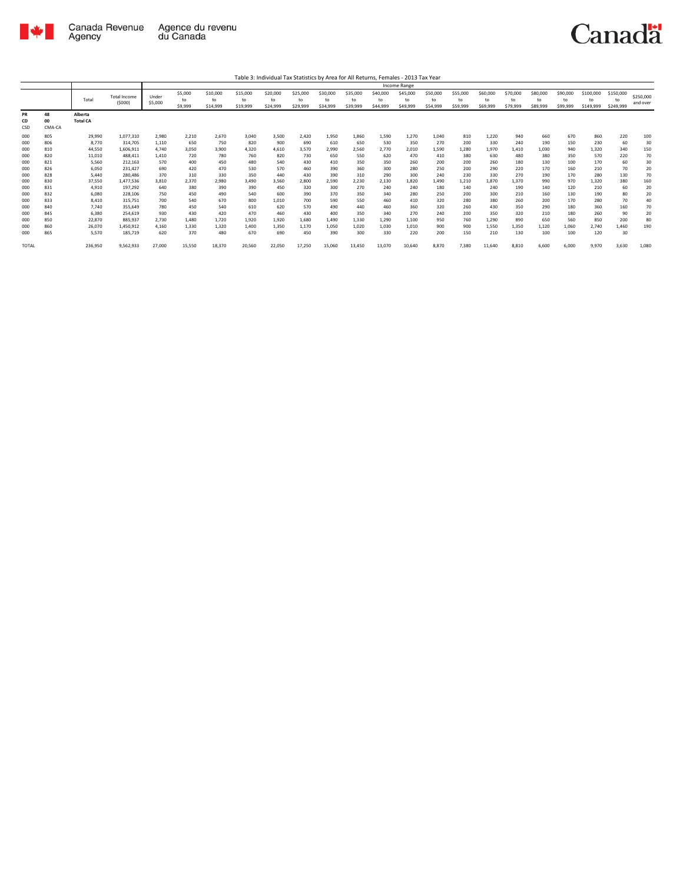

Table 3: Individual Tax Statistics by Area for All Returns, Females - 2013 Tax Year

|                                                                                                |                                                                                                |                                                                                                                                 |                                                                                                                                                              |                                                                                                            |                                                                                                        |                                                                                                        |                                                                                                        |                                                                                                          |                                                                                                        |                                                                                                        |                                                                                                        |                                                                                                        | Income Range                                                                                           |                                                                                                      |                                                                                                    |                                                                                                        |                                                                                                    |                                                                                                  |                                                                                                |                                                                                                    |                                                                                         |                                                                                     |
|------------------------------------------------------------------------------------------------|------------------------------------------------------------------------------------------------|---------------------------------------------------------------------------------------------------------------------------------|--------------------------------------------------------------------------------------------------------------------------------------------------------------|------------------------------------------------------------------------------------------------------------|--------------------------------------------------------------------------------------------------------|--------------------------------------------------------------------------------------------------------|--------------------------------------------------------------------------------------------------------|----------------------------------------------------------------------------------------------------------|--------------------------------------------------------------------------------------------------------|--------------------------------------------------------------------------------------------------------|--------------------------------------------------------------------------------------------------------|--------------------------------------------------------------------------------------------------------|--------------------------------------------------------------------------------------------------------|------------------------------------------------------------------------------------------------------|----------------------------------------------------------------------------------------------------|--------------------------------------------------------------------------------------------------------|----------------------------------------------------------------------------------------------------|--------------------------------------------------------------------------------------------------|------------------------------------------------------------------------------------------------|----------------------------------------------------------------------------------------------------|-----------------------------------------------------------------------------------------|-------------------------------------------------------------------------------------|
|                                                                                                |                                                                                                | Total                                                                                                                           | <b>Total Income</b><br>(5000)                                                                                                                                | Under<br>\$5,000                                                                                           | \$5,000<br>to<br>\$9,999                                                                               | \$10,000<br>to<br>\$14,999                                                                             | \$15,000<br>to<br>\$19,999                                                                             | \$20,000<br>to<br>\$24,999                                                                               | \$25,000<br>to<br>\$29,999                                                                             | \$30,000<br>to<br>\$34,999                                                                             | \$35,000<br>to<br>\$39,999                                                                             | \$40,000<br>to<br>\$44,999                                                                             | \$45,000<br>to<br>\$49,999                                                                             | \$50,000<br>to<br>\$54,999                                                                           | \$55,000<br>to<br>\$59,999                                                                         | \$60,000<br>to<br>\$69,999                                                                             | \$70,000<br>to<br>\$79,999                                                                         | \$80,000<br>to<br>\$89,999                                                                       | \$90,000<br>to<br>\$99,999                                                                     | \$100,000<br>to<br>\$149,999                                                                       | \$150,000<br>to<br>\$249,999                                                            | \$250,000<br>and over                                                               |
| PR<br>CD<br>CSD                                                                                | 48<br>00<br>CMA-CA                                                                             | Alberta<br><b>Total CA</b>                                                                                                      |                                                                                                                                                              |                                                                                                            |                                                                                                        |                                                                                                        |                                                                                                        |                                                                                                          |                                                                                                        |                                                                                                        |                                                                                                        |                                                                                                        |                                                                                                        |                                                                                                      |                                                                                                    |                                                                                                        |                                                                                                    |                                                                                                  |                                                                                                |                                                                                                    |                                                                                         |                                                                                     |
| 000<br>000<br>000<br>000<br>000<br>000<br>000<br>000<br>000<br>000<br>000<br>000<br>000<br>000 | 805<br>806<br>810<br>820<br>821<br>826<br>828<br>830<br>831<br>832<br>833<br>840<br>845<br>850 | 29,990<br>8,770<br>44,550<br>11,010<br>5,560<br>6,050<br>5,440<br>37,550<br>4,910<br>6,080<br>8,410<br>7,740<br>6,380<br>22,870 | 1.077.310<br>314,705<br>1,606,911<br>488.411<br>212.163<br>231.427<br>280,486<br>1,477,536<br>197,292<br>228,106<br>315,751<br>355.649<br>254,619<br>885.937 | 2.980<br>1,110<br>4.740<br>1,410<br>570<br>690<br>370<br>3,810<br>640<br>750<br>700<br>780<br>930<br>2.730 | 2,210<br>650<br>3,050<br>720<br>400<br>420<br>310<br>2,370<br>380<br>450<br>540<br>450<br>430<br>1.480 | 2,670<br>750<br>3,900<br>780<br>450<br>470<br>330<br>2,980<br>390<br>490<br>670<br>540<br>420<br>1,720 | 3,040<br>820<br>4,320<br>760<br>480<br>530<br>350<br>3.490<br>390<br>540<br>800<br>610<br>470<br>1,920 | 3,500<br>900<br>4,610<br>820<br>540<br>570<br>440<br>3,560<br>450<br>600<br>1,010<br>620<br>460<br>1,920 | 2,420<br>690<br>3,570<br>730<br>430<br>460<br>430<br>2,800<br>320<br>390<br>700<br>570<br>430<br>1,680 | 1,950<br>610<br>2,990<br>650<br>410<br>390<br>390<br>2,590<br>300<br>370<br>590<br>490<br>400<br>1,490 | 1,860<br>650<br>2,560<br>550<br>350<br>360<br>310<br>2,230<br>270<br>350<br>550<br>440<br>350<br>1,330 | 1.590<br>530<br>2,770<br>620<br>350<br>300<br>290<br>2,130<br>240<br>340<br>460<br>460<br>340<br>1,290 | 1,270<br>350<br>2,010<br>470<br>260<br>280<br>300<br>1,820<br>240<br>280<br>410<br>360<br>270<br>1,100 | 1.040<br>270<br>1,590<br>410<br>200<br>250<br>240<br>1.490<br>180<br>250<br>320<br>320<br>240<br>950 | 810<br>200<br>1,280<br>380<br>200<br>200<br>230<br>1,210<br>140<br>200<br>280<br>260<br>200<br>760 | 1,220<br>330<br>1,970<br>630<br>260<br>290<br>330<br>1,870<br>240<br>300<br>380<br>430<br>350<br>1,290 | 940<br>240<br>1,410<br>480<br>180<br>220<br>270<br>1,370<br>190<br>210<br>260<br>350<br>320<br>890 | 660<br>190<br>1,030<br>380<br>130<br>170<br>190<br>990<br>140<br>160<br>200<br>290<br>210<br>650 | 670<br>150<br>940<br>350<br>100<br>160<br>170<br>970<br>120<br>130<br>170<br>180<br>180<br>560 | 860<br>230<br>1,320<br>570<br>170<br>210<br>280<br>1,320<br>210<br>190<br>280<br>360<br>260<br>850 | 220<br>60<br>340<br>220<br>60<br>70<br>130<br>380<br>60<br>80<br>70<br>160<br>90<br>200 | 100<br>30<br>150<br>70<br>30<br>20<br>70<br>160<br>20<br>20<br>40<br>70<br>20<br>80 |
| 000<br>000<br><b>TOTAL</b>                                                                     | 860<br>865                                                                                     | 26,070<br>5,570<br>236,950                                                                                                      | 1,450,912<br>185.719<br>9,562,933                                                                                                                            | 4,160<br>620<br>27,000                                                                                     | 1,330<br>370<br>15,550                                                                                 | 1,320<br>480<br>18,370                                                                                 | 1,400<br>670<br>20,560                                                                                 | 1,350<br>690<br>22,050                                                                                   | 1,170<br>450<br>17,250                                                                                 | 1,050<br>390<br>15,060                                                                                 | 1,020<br>300<br>13,450                                                                                 | 1,030<br>330<br>13,070                                                                                 | 1,010<br>220<br>10,640                                                                                 | 900<br>200<br>8.870                                                                                  | 900<br>150<br>7,380                                                                                | 1,550<br>210<br>11,640                                                                                 | 1,350<br>130<br>8,810                                                                              | 1,120<br>100<br>6,600                                                                            | 1,060<br>100<br>6,000                                                                          | 2,740<br>120<br>9,970                                                                              | 1,460<br>30<br>3,630                                                                    | 190<br>1,080                                                                        |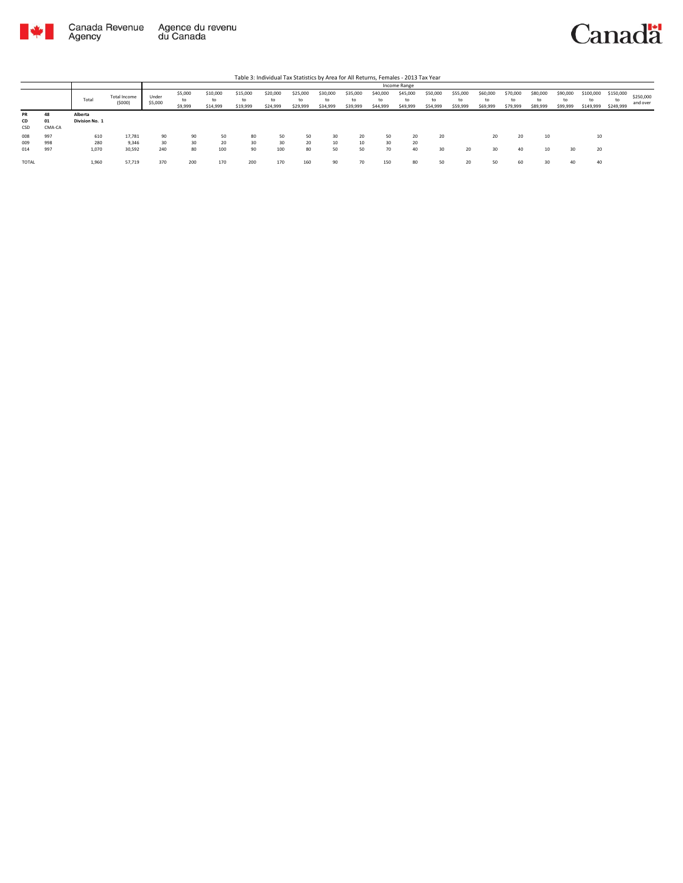



|                        |                    |                           |                           |                  |                          |                            |                            | Table 3: Individual Tax Statistics by Area for All Returns, Females - 2013 Tax Year |                      |                            |                            |                            |                            |                            |                            |                            |                            |                            |                            |                              |                              |                       |
|------------------------|--------------------|---------------------------|---------------------------|------------------|--------------------------|----------------------------|----------------------------|-------------------------------------------------------------------------------------|----------------------|----------------------------|----------------------------|----------------------------|----------------------------|----------------------------|----------------------------|----------------------------|----------------------------|----------------------------|----------------------------|------------------------------|------------------------------|-----------------------|
|                        |                    |                           |                           |                  |                          |                            |                            |                                                                                     |                      |                            |                            |                            | Income Range               |                            |                            |                            |                            |                            |                            |                              |                              |                       |
|                        |                    | Total                     | Total Income<br>(5000)    | Under<br>\$5,000 | \$5,000<br>to<br>\$9,999 | \$10,000<br>to<br>\$14,999 | \$15,000<br>to<br>\$19,999 | \$20,000<br>to<br>\$24,999                                                          | \$25,000<br>\$29,999 | \$30,000<br>to<br>\$34,999 | \$35,000<br>to<br>\$39,999 | \$40,000<br>to<br>\$44,999 | \$45,000<br>to<br>\$49,999 | \$50,000<br>to<br>\$54,999 | \$55,000<br>to<br>\$59,999 | \$60,000<br>to<br>\$69,999 | \$70,000<br>to<br>\$79,999 | \$80,000<br>to<br>\$89,999 | \$90,000<br>to<br>\$99,999 | \$100,000<br>to<br>\$149,999 | \$150,000<br>to<br>\$249,999 | \$250,000<br>and over |
| <b>PR</b><br>CD<br>CSD | 48<br>01<br>CMA-CA | Alberta<br>Division No. 1 |                           |                  |                          |                            |                            |                                                                                     |                      |                            |                            |                            |                            |                            |                            |                            |                            |                            |                            |                              |                              |                       |
| 008<br>009<br>014      | 997<br>998<br>997  | 610<br>280<br>1,070       | 17,781<br>9.346<br>30,592 | 90<br>30<br>240  | 90<br>30<br>80           | 50<br>20<br>100            | 80<br>30<br>90             | 50<br>30<br>100                                                                     | 50<br>20<br>80       | 30<br>50                   | 20<br>10<br>50             | 50<br>30<br>70             | 20<br>20<br>40             | 20<br>30                   | 20                         | 20<br>30                   | 20<br>40                   | 10<br>10                   | 30                         | 10<br>20                     |                              |                       |
| TOTAL                  |                    | 1,960                     | 57,719                    | 370              | 200                      | 170                        | 200                        | 170                                                                                 | 160                  | 90                         | 70                         | 150                        | 80                         | 50                         | 20                         | 50                         | 60                         | 30                         | 40                         | 40                           |                              |                       |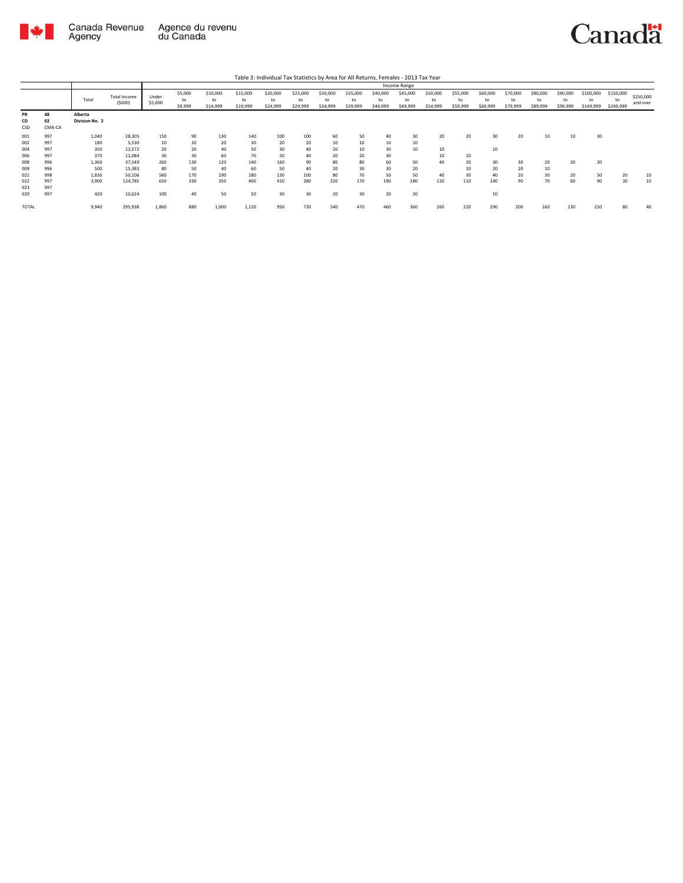

|                        |                    |                           |                               |                  |                          |                            |                            |                            |                            |                            |                            |                            | Income Range               |                            |                            |                            |                            |                            |                            |                              |                              |                       |
|------------------------|--------------------|---------------------------|-------------------------------|------------------|--------------------------|----------------------------|----------------------------|----------------------------|----------------------------|----------------------------|----------------------------|----------------------------|----------------------------|----------------------------|----------------------------|----------------------------|----------------------------|----------------------------|----------------------------|------------------------------|------------------------------|-----------------------|
|                        |                    | Total                     | <b>Total Income</b><br>(5000) | Under<br>\$5,000 | \$5,000<br>to<br>\$9,999 | \$10,000<br>to<br>\$14,999 | \$15,000<br>to<br>\$19,999 | \$20,000<br>to<br>\$24,999 | \$25,000<br>to<br>\$29,999 | \$30,000<br>to<br>\$34,999 | \$35,000<br>to<br>\$39,999 | \$40,000<br>to<br>\$44,999 | \$45,000<br>to<br>\$49,999 | \$50,000<br>to<br>\$54,999 | \$55,000<br>to<br>\$59,999 | \$60,000<br>to<br>\$69,999 | \$70,000<br>to<br>\$79,999 | \$80,000<br>to<br>\$89,999 | \$90,000<br>to<br>\$99,999 | \$100,000<br>to<br>\$149,999 | \$150,000<br>to<br>\$249,999 | \$250,000<br>and over |
| <b>PR</b><br>CD<br>CSD | 48<br>02<br>CMA-CA | Alberta<br>Division No. 2 |                               |                  |                          |                            |                            |                            |                            |                            |                            |                            |                            |                            |                            |                            |                            |                            |                            |                              |                              |                       |
| 001<br>002<br>004      | 997<br>997<br>997  | 1.040<br>180<br>350       | 28,305<br>5,530<br>12,572     | 150<br>10<br>20  | 90<br>10<br>20           | 130<br>20<br>40            | 140<br>30<br>50            | 100<br>20<br>30            | 100<br>20<br>40            | 60<br>10<br>20             | 50<br>10<br>10             | 40<br>10<br>30             | 30<br>10<br>10             | 20<br>10                   | 20                         | 30<br>10                   | 20                         | 10                         | 10                         | 30                           |                              |                       |
| 006<br>008             | 997<br>996         | 370<br>1,360              | 11,084<br>37,549              | 30<br>260        | 30<br>130                | 60<br>120                  | 70<br>140                  | 20<br>160                  | 40<br>90                   | 20<br>80                   | 20<br>80                   | 30<br>60                   | 50                         | 10<br>40                   | 10<br>20                   | 30                         | 30                         | 20                         | 20                         | 20                           |                              |                       |
| 009<br>021             | 996<br>998         | 500<br>1,830              | 15,383<br>50,106              | 80<br>560        | 50<br>170                | 40<br>190                  | 60<br>180                  | 50<br>130                  | 40<br>100                  | 20<br>80                   | 30<br>70                   | 30<br>50                   | 20<br>50                   | 40                         | 10<br>30                   | 20<br>40                   | 20<br>20                   | 10<br>30                   | 20                         | 50                           | 20                           | 10                    |
| 022<br>023             | 997<br>997         | 3.900                     | 124,785                       | 650              | 330                      | 350                        | 400                        | 410                        | 280                        | 220                        | 170                        | 190                        | 180                        | 120                        | 110                        | 140                        | 90                         | 70                         | 60                         | 90                           | 30                           | 10                    |
| 029<br>TOTAL           | 997                | 420<br>9,940              | 10,624<br>295,938             | 100<br>1,860     | 40<br>880                | 50<br>1,000                | 50<br>1,120                | 30<br>950                  | 30<br>730                  | 20<br>540                  | 30<br>470                  | 20<br>460                  | 20<br>360                  | 260                        | 220                        | 10<br>290                  | 200                        | 160                        | 130                        | 210                          | 80                           | 40                    |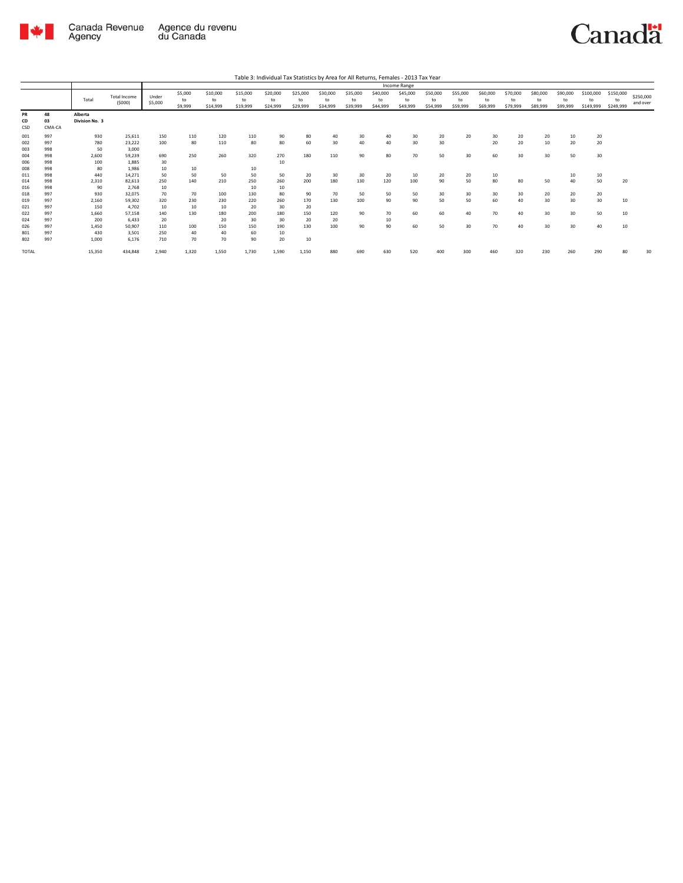

|                          |                          |                              |                                    |                         |                          |                            |                            |                            |                            |                            |                            |                            | Income Range               |                            |                            |                            |                            |                            |                            |                              |                              |                       |
|--------------------------|--------------------------|------------------------------|------------------------------------|-------------------------|--------------------------|----------------------------|----------------------------|----------------------------|----------------------------|----------------------------|----------------------------|----------------------------|----------------------------|----------------------------|----------------------------|----------------------------|----------------------------|----------------------------|----------------------------|------------------------------|------------------------------|-----------------------|
|                          |                          | Total                        | <b>Total Income</b><br>(5000)      | Under<br>\$5,000        | \$5,000<br>to<br>\$9,999 | \$10,000<br>to<br>\$14,999 | \$15,000<br>to<br>\$19,999 | \$20,000<br>to<br>\$24,999 | \$25,000<br>to<br>\$29,999 | \$30,000<br>to<br>\$34,999 | \$35,000<br>to<br>\$39,999 | \$40,000<br>to<br>\$44,999 | \$45,000<br>to<br>\$49,999 | \$50,000<br>to<br>\$54,999 | \$55,000<br>to<br>\$59,999 | \$60,000<br>to<br>\$69,999 | \$70,000<br>to<br>\$79,999 | \$80,000<br>to<br>\$89,999 | \$90,000<br>to<br>\$99,999 | \$100,000<br>to<br>\$149,999 | \$150,000<br>to<br>\$249,999 | \$250,000<br>and over |
| <b>PR</b><br>CD<br>CSD   | 48<br>03<br>CMA-CA       | Alberta<br>Division No. 3    |                                    |                         |                          |                            |                            |                            |                            |                            |                            |                            |                            |                            |                            |                            |                            |                            |                            |                              |                              |                       |
| 001<br>002<br>003        | 997<br>997<br>998        | 930<br>780<br>50             | 25.611<br>23,222<br>3,000          | 150<br>100              | 110<br>80                | 120<br>110                 | 110<br>80                  | 90<br>80                   | 80<br>60                   | 40<br>30                   | 30<br>40                   | 40<br>40                   | 30<br>30                   | 20<br>30                   | 20                         | 30<br>20                   | 20<br>20                   | 20<br>10                   | 10<br>20                   | 20<br>20                     |                              |                       |
| 004<br>006<br>008        | 998<br>998<br>998        | 2.600<br>100<br>80           | 59.239<br>1.885<br>1.986           | 690<br>30<br>10         | 250<br>10                | 260                        | 320<br>10                  | 270<br>10                  | 180                        | 110                        | 90                         | 80                         | 70                         | 50                         | 30                         | 60                         | 30                         | 30                         | 50                         | 30                           |                              |                       |
| 011<br>014<br>016        | 998<br>998<br>998        | 440<br>2.310<br>90           | 14.271<br>82.613<br>2.768          | 50<br>250<br>10         | 50<br>140                | 50<br>210                  | 50<br>250<br>10            | 50<br>260<br>10            | 20<br>200                  | 30<br>180                  | 30<br>130                  | 20<br>120                  | 10<br>100                  | 20<br>90                   | 20<br>50                   | 10<br>80                   | 80                         | 50                         | 10<br>40                   | 10<br>50                     | 20                           |                       |
| 018<br>019<br>021        | 997<br>997<br>997        | 930<br>2,160<br>150          | 32,075<br>59.302<br>4,702          | 70<br>320<br>10         | 70<br>230<br>10          | 100<br>230<br>10           | 130<br>220<br>20           | 80<br>260<br>30            | 90<br>170<br>20            | 70<br>130                  | 50<br>100                  | 50<br>90                   | 50<br>90                   | 30<br>50                   | 30<br>50                   | 30<br>60                   | 30<br>40                   | 20<br>30                   | 20<br>30                   | 20<br>30                     | 10                           |                       |
| 022<br>024<br>026<br>801 | 997<br>997<br>997<br>997 | 1.660<br>200<br>1.450<br>430 | 57.158<br>6.433<br>50.907<br>3.501 | 140<br>20<br>110<br>250 | 130<br>100<br>40         | 180<br>20<br>150<br>40     | 200<br>30<br>150<br>60     | 180<br>30<br>190<br>10     | 150<br>20<br>130           | 120<br>20<br>100           | 90<br>90                   | 70<br>10<br>90             | 60<br>60                   | 60<br>50                   | 40<br>30                   | 70<br>70                   | 40<br>40                   | 30<br>30                   | 30<br>30                   | 50<br>40                     | 10<br>10                     |                       |
| 802<br><b>TOTAL</b>      | 997                      | 1,000<br>15.350              | 6,176<br>434.848                   | 710<br>2,940            | 70<br>1.320              | 70<br>1.550                | 90<br>1.730                | 20<br>1,590                | 10<br>1,150                | 880                        | 690                        | 630                        | 520                        | 400                        | 300                        | 460                        | 320                        | 230                        | 260                        | 290                          | 80                           | 30                    |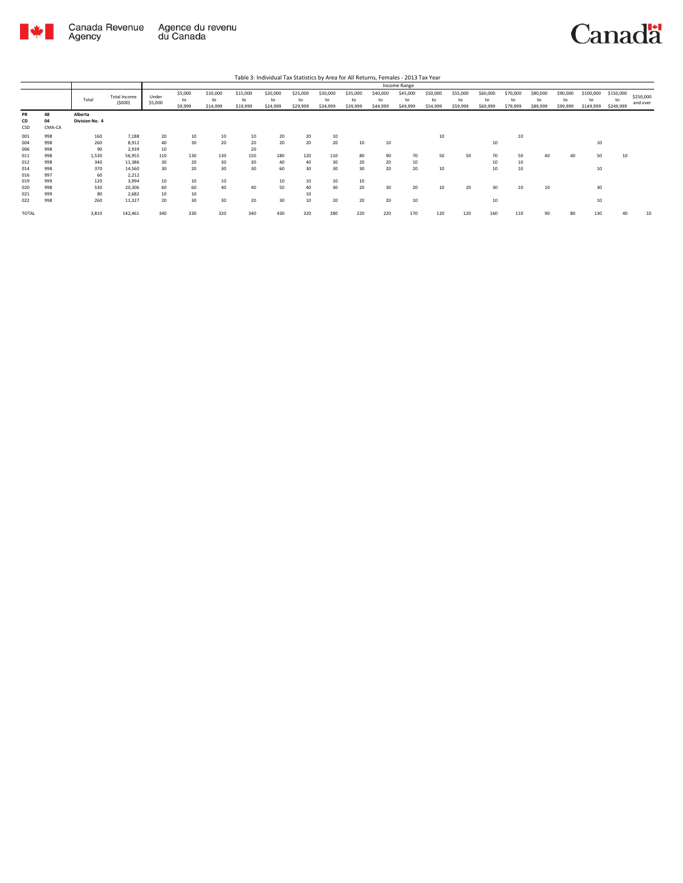

Canada Revenue<br>Agency Agence du revenu<br>du Canada

|                   |                    |                           |                               |                  |                          |                            |                            | Table 3: Individual Tax Statistics by Area for All Returns, Females - 2013 Tax Year |                            |                            |                            |                            |                            |                            |                            |                            |                            |                            |                            |                              |                              |                       |
|-------------------|--------------------|---------------------------|-------------------------------|------------------|--------------------------|----------------------------|----------------------------|-------------------------------------------------------------------------------------|----------------------------|----------------------------|----------------------------|----------------------------|----------------------------|----------------------------|----------------------------|----------------------------|----------------------------|----------------------------|----------------------------|------------------------------|------------------------------|-----------------------|
|                   |                    |                           |                               |                  |                          |                            |                            |                                                                                     |                            |                            |                            |                            | Income Range               |                            |                            |                            |                            |                            |                            |                              |                              |                       |
|                   |                    | Total                     | <b>Total Income</b><br>(5000) | Under<br>\$5,000 | \$5,000<br>to<br>\$9,999 | \$10,000<br>to<br>\$14,999 | \$15,000<br>to<br>\$19,999 | \$20,000<br>to<br>\$24,999                                                          | \$25,000<br>to<br>\$29,999 | \$30,000<br>to<br>\$34,999 | \$35,000<br>to<br>\$39,999 | \$40,000<br>to<br>\$44,999 | \$45,000<br>to<br>\$49,999 | \$50,000<br>to<br>\$54,999 | \$55,000<br>to<br>\$59,999 | \$60,000<br>to<br>\$69,999 | \$70,000<br>to<br>\$79,999 | \$80,000<br>to<br>\$89,999 | \$90,000<br>to<br>\$99,999 | \$100,000<br>to<br>\$149,999 | \$150,000<br>to<br>\$249,999 | \$250,000<br>and over |
| PR<br>CD<br>CSD   | 48<br>04<br>CMA-CA | Alberta<br>Division No. 4 |                               |                  |                          |                            |                            |                                                                                     |                            |                            |                            |                            |                            |                            |                            |                            |                            |                            |                            |                              |                              |                       |
| 001<br>004<br>006 | 998<br>998<br>998  | 160<br>260<br>90          | 7.188<br>8.912<br>2,939       | 20<br>40<br>10   | 10<br>30                 | 10<br>20                   | 10<br>20<br>20             | 20<br>20                                                                            | 20<br>20                   | 10<br>20                   | 10                         | 10                         |                            | 10                         |                            | 10                         | 10                         |                            |                            | 10                           |                              |                       |
| 011<br>012        | 998<br>998         | 1,530<br>340              | 56,955<br>11.386              | 110<br>30        | 130<br>20                | 130<br>30                  | 150<br>30                  | 180<br>40                                                                           | 120<br>40                  | 110<br>30                  | 80<br>20                   | 90<br>20                   | 70<br>10                   | 50                         | 50                         | 70<br>10                   | 50<br>10                   | 40                         | 40                         | 50                           | 10                           |                       |
| 014<br>016<br>019 | 998<br>997<br>999  | 370<br>60<br>120          | 14,560<br>2,212<br>3.994      | 30<br>10         | 20<br>10                 | 30<br>10                   | 30                         | 60                                                                                  | 30<br>10                   | 30<br>10                   | 30<br>10                   | 20                         | 20                         | 10                         |                            | 10                         | 10                         |                            |                            | 10                           |                              |                       |
| 020<br>021        | 998<br>999         | 530<br>80                 | 20,306<br>2.682               | 60<br>10         | 60<br>10                 | 40                         | 40                         | 10<br>50                                                                            | 40<br>10                   | 30                         | 20                         | 30                         | 20                         | 10                         | 20                         | 30                         | 10                         | 10                         |                            | 30                           |                              |                       |
| 022               | 998                | 260                       | 11,327                        | 20               | 30                       | 30                         | 20                         | 30                                                                                  | 10                         | 20                         | 20                         | 20                         | 10                         |                            |                            | 10                         |                            |                            |                            | 10                           |                              |                       |
| <b>TOTAL</b>      |                    | 3,810                     | 142,461                       | 340              | 330                      | 320                        | 340                        | 430                                                                                 | 320                        | 280                        | 220                        | 220                        | 170                        | 120                        | 120                        | 160                        | 110                        | 90                         | 80                         | 130                          | 40                           | 10                    |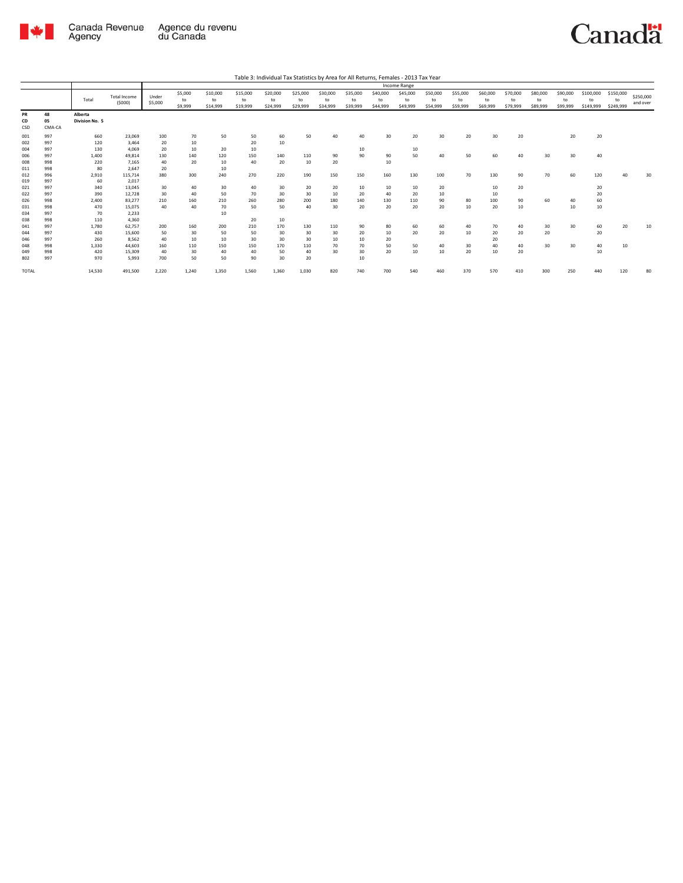

|                 |                    |                           |                               |                  |                          |                            |                            |                            |                            |                            |                            |                            | Income Range               |                            |                            |                            |                            |                            |                            |                              |                              |                       |
|-----------------|--------------------|---------------------------|-------------------------------|------------------|--------------------------|----------------------------|----------------------------|----------------------------|----------------------------|----------------------------|----------------------------|----------------------------|----------------------------|----------------------------|----------------------------|----------------------------|----------------------------|----------------------------|----------------------------|------------------------------|------------------------------|-----------------------|
|                 |                    | Total                     | <b>Total Income</b><br>(5000) | Under<br>\$5,000 | \$5,000<br>to<br>\$9,999 | \$10,000<br>to<br>\$14,999 | \$15,000<br>to<br>\$19,999 | \$20,000<br>to<br>\$24,999 | \$25,000<br>to<br>\$29,999 | \$30,000<br>to<br>\$34,999 | \$35,000<br>to<br>\$39,999 | \$40,000<br>to<br>\$44,999 | \$45,000<br>to<br>\$49,999 | \$50,000<br>to<br>\$54,999 | \$55,000<br>to<br>\$59,999 | \$60,000<br>to<br>\$69,999 | \$70,000<br>to<br>\$79,999 | \$80,000<br>to<br>\$89,999 | \$90,000<br>to<br>\$99,999 | \$100,000<br>to<br>\$149,999 | \$150,000<br>to<br>\$249,999 | \$250,000<br>and over |
| PR<br>CD<br>CSD | 48<br>05<br>CMA-CA | Alberta<br>Division No. 5 |                               |                  |                          |                            |                            |                            |                            |                            |                            |                            |                            |                            |                            |                            |                            |                            |                            |                              |                              |                       |
| 001             | 997                | 660                       | 23,069                        | 100              | 70                       | 50                         | 50                         | 60                         | 50                         | 40                         | 40                         | 30                         | 20                         | 30                         | 20                         | 30                         | 20                         |                            | 20                         | 20                           |                              |                       |
| 002             | 997                | 120                       | 3.464                         | 20               | 10                       |                            | 20                         | 10                         |                            |                            |                            |                            |                            |                            |                            |                            |                            |                            |                            |                              |                              |                       |
| 004             | 997                | 130                       | 4,069                         | 20               | 10                       | 20                         | 10                         |                            |                            |                            | 10                         |                            | 10                         |                            |                            |                            |                            |                            |                            |                              |                              |                       |
| 006             | 997                | 1,400                     | 49,814                        | 130              | 140                      | 120                        | 150                        | 140                        | 110                        | 90                         | 90                         | 90                         | 50                         | 40                         | 50                         | 60                         | 40                         | 30                         | $30^{\circ}$               | 40                           |                              |                       |
| 008             | 998                | 220                       | 7,165                         | 40               | 20                       | 10                         | 40                         | 20                         | 10                         | 20                         |                            | 10                         |                            |                            |                            |                            |                            |                            |                            |                              |                              |                       |
| 011             | 998                | 80                        | 2,647                         | 20               |                          | 10                         |                            |                            |                            |                            |                            |                            |                            |                            |                            |                            |                            |                            |                            |                              |                              |                       |
| 012             | 996                | 2,910                     | 115,714                       | 380              | 300                      | 240                        | 270                        | 220                        | 190                        | 150                        | 150                        | 160                        | 130                        | 100                        | 70                         | 130                        | 90                         | 70                         | 60                         | 120                          | 40                           | 30                    |
| 019             | 997                | 60                        | 2,017                         |                  |                          |                            |                            |                            |                            |                            |                            |                            |                            |                            |                            |                            |                            |                            |                            |                              |                              |                       |
| 021             | 997                | 340                       | 13,045                        | 30               | 40                       | 30                         | 40                         | 30                         | 20                         | 20                         | 10                         | 10                         | 10                         | 20                         |                            | 10                         | 20                         |                            |                            | 20                           |                              |                       |
| 022             | 997                | 390                       | 12,728                        | 30               | 40                       | 50                         | 70                         | 30                         | 30                         | 10                         | 20                         | 40                         | 20                         | 10                         |                            | 10                         |                            |                            |                            | 20                           |                              |                       |
| 026             | 998                | 2,400                     | 83,277                        | 210              | 160                      | 210                        | 260                        | 280                        | 200                        | 180                        | 140                        | 130                        | 110                        | 90                         | 80                         | 100                        | 90                         | 60                         | 40                         | 60                           |                              |                       |
| 031             | 998                | 470                       | 15,075                        | 40               | 40                       | 70                         | 50                         | 50                         | 40                         | 30                         | 20                         | 20                         | 20                         | 20                         | 10                         | 20                         | 10                         |                            | 10                         | 10                           |                              |                       |
| 034             | 997                | 70                        | 2,233                         |                  |                          | 10                         |                            |                            |                            |                            |                            |                            |                            |                            |                            |                            |                            |                            |                            |                              |                              |                       |
| 038             | 998                | 110                       | 4,360                         |                  |                          |                            | 20                         | 10                         |                            |                            |                            |                            |                            |                            |                            |                            |                            |                            |                            |                              |                              |                       |
| 041             | 997                | 1.780                     | 62,757                        | 200              | 160                      | 200                        | 210                        | 170                        | 130                        | 110                        | 90                         | 80                         | 60                         | 60                         | 40                         | 70                         | 40                         | 30                         | 30                         | 60                           | 20                           | 10                    |
| 044             | 997                | 430                       | 15,600                        | 50               | 30                       | 50                         | 50                         | 30                         | 30                         | 30                         | 20                         | 10                         | 20                         | 20                         | 10                         | 20                         | 20                         | 20                         |                            | 20                           |                              |                       |
| 046             | 997                | 260                       | 8.562                         | 40               | 10                       | 10                         | 30                         | 30                         | 30                         | 10                         | 10                         | 20                         |                            |                            |                            | 20                         |                            |                            |                            |                              |                              |                       |
| 048             | 998                | 1,330                     | 44.603                        | 160              | 110                      | 150                        | 150                        | 170                        | 110                        | 70                         | 70                         | 50                         | 50                         | 40                         | 30                         | 40                         | 40                         | 30                         | 30                         | 40                           | 10                           |                       |
| 049             | 998                | 420                       | 15.309                        | 40               | 30                       | 40                         | 40                         | 50                         | 40                         | 30                         | 30                         | 20                         | 10                         | 10                         | 20                         | 10                         | 20                         |                            |                            | 10                           |                              |                       |
| 802             | 997                | 970                       | 5.993                         | 700              | 50                       | 50                         | 90                         | 30                         | 20                         |                            | 10                         |                            |                            |                            |                            |                            |                            |                            |                            |                              |                              |                       |
| <b>TOTAL</b>    |                    | 14,530                    | 491,500                       | 2,220            | 1,240                    | 1.350                      | 1.560                      | 1,360                      | 1,030                      | 820                        | 740                        | 700                        | 540                        | 460                        | 370                        | 570                        | 410                        | 300                        | 250                        | 440                          | 120                          | 80                    |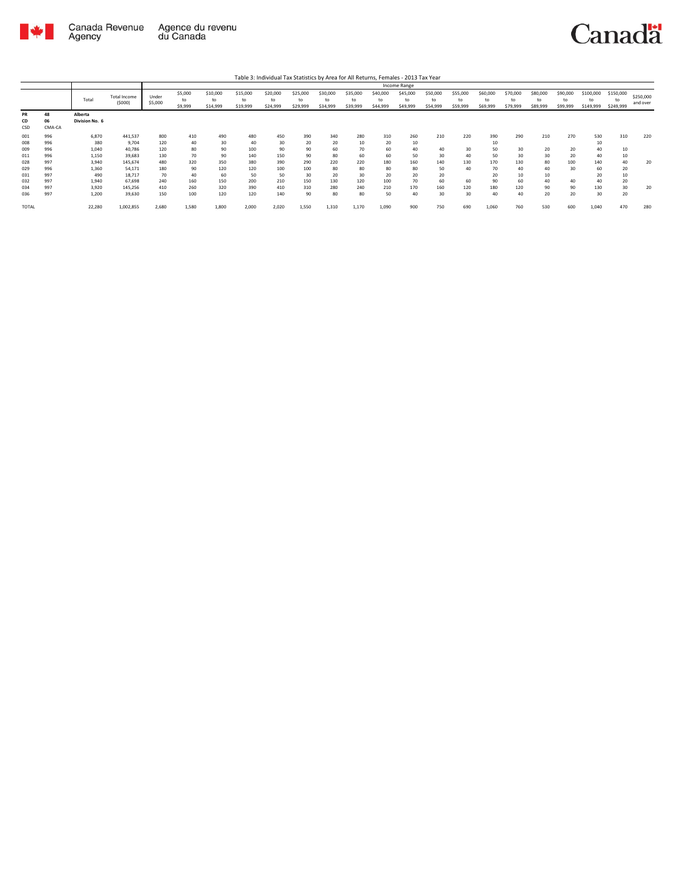

|                 |                    |                           |                               |                  |                          |                            |                            |                            |                            |                            |                            |                            | Income Range               |                            |                            |                            |                            |                            |                            |                              |                              |                       |
|-----------------|--------------------|---------------------------|-------------------------------|------------------|--------------------------|----------------------------|----------------------------|----------------------------|----------------------------|----------------------------|----------------------------|----------------------------|----------------------------|----------------------------|----------------------------|----------------------------|----------------------------|----------------------------|----------------------------|------------------------------|------------------------------|-----------------------|
|                 |                    | Total                     | <b>Total Income</b><br>(5000) | Under<br>\$5,000 | \$5,000<br>to<br>\$9,999 | \$10,000<br>to<br>\$14,999 | \$15,000<br>to<br>\$19,999 | \$20,000<br>to<br>\$24,999 | \$25,000<br>tο<br>\$29,999 | \$30,000<br>to<br>\$34,999 | \$35,000<br>to<br>\$39,999 | \$40,000<br>to<br>\$44,999 | \$45,000<br>to<br>\$49,999 | \$50,000<br>to<br>\$54,999 | \$55,000<br>to<br>\$59,999 | \$60,000<br>to<br>\$69,999 | \$70,000<br>to<br>\$79,999 | \$80,000<br>to<br>\$89,999 | \$90,000<br>to<br>\$99,999 | \$100,000<br>to<br>\$149,999 | \$150,000<br>to<br>\$249,999 | \$250,000<br>and over |
| PR<br>CD<br>CSD | 48<br>06<br>CMA-CA | Alberta<br>Division No. 6 |                               |                  |                          |                            |                            |                            |                            |                            |                            |                            |                            |                            |                            |                            |                            |                            |                            |                              |                              |                       |
| 001             | 996                | 6,870                     | 441,537                       | 800              | 410                      | 490                        | 480                        | 450                        | 390                        | 340                        | 280                        | 310                        | 260                        | 210                        | 220                        | 390                        | 290                        | 210                        | 270                        | 530                          | 310                          | 220                   |
| 008             | 996                | 380                       | 9.704                         | 120              | 40                       | 30                         | 40                         | 30                         | 20                         | 20                         | 10                         | 20                         | 10                         |                            |                            | 10                         |                            |                            |                            | 10                           |                              |                       |
| 009             | 996                | 1,040                     | 40,786                        | 120              | 80                       | 90                         | 100                        | 90                         | 90                         | 60                         | 70                         | 60                         | 40                         | 40                         | 30                         | 50                         | 30                         | 20                         | 20                         | 40                           | 10                           |                       |
| 011             | 996                | 1,150                     | 39,683                        | 130              | 70                       | 90                         | 140                        | 150                        | 90                         | 80                         | 60                         | 60                         | 50                         | 30                         | 40                         | 50                         | 30                         | 30                         | 20                         | 40                           | 10                           |                       |
| 028             | 997                | 3,940                     | 145,674                       | 480              | 320                      | 350                        | 380                        | 390                        | 290                        | 220                        | 220                        | 180                        | 160                        | 140                        | 130                        | 170                        | 130                        | 80                         | 100                        | 140                          | 40                           | 20                    |
| 029             | 996                | 1,360                     | 54,171                        | 180              | 90                       | 120                        | 120                        | 100                        | 100                        | 80                         | 80                         | 80                         | 80                         | 50                         | 40                         | 70                         | 40                         | 40                         | 30                         | 60                           | 20                           |                       |
| 031             | 997                | 490                       | 18,717                        | 70               | 40                       | 60                         | 50                         | 50                         | 30                         | 20                         | 30                         | 20                         | 20                         | 20                         |                            | 20                         | 10                         | 10                         |                            | 20                           | 10                           |                       |
| 032             | 997                | 1,940                     | 67,698                        | 240              | 160                      | 150                        | 200                        | 210                        | 150                        | 130                        | 120                        | 100                        | 70                         | 60                         | 60                         | 90                         | 60                         | 40                         | 40                         | 40                           | 20                           |                       |
| 034             | 997                | 3,920                     | 145,256                       | 410              | 260                      | 320                        | 390                        | 410                        | 310                        | 280                        | 240                        | 210                        | 170                        | 160                        | 120                        | 180                        | 120                        | 90                         | 90                         | 130                          | 30                           | 20                    |
| 036             | 997                | 1,200                     | 39,630                        | 150              | 100                      | 120                        | 120                        | 140                        | 90                         | 80                         | 80                         | 50                         | 40                         | 30                         | 30                         | 40                         | 40                         | 20                         | 20                         | 30                           | 20                           |                       |
| <b>TOTAL</b>    |                    | 22,280                    | 1,002,855                     | 2,680            | 1,580                    | 1.800                      | 2.000                      | 2,020                      | 1.550                      | 1,310                      | 1,170                      | 1,090                      | 900                        | 750                        | 690                        | 1,060                      | 760                        | 530                        | 600                        | 1,040                        | 470                          | 280                   |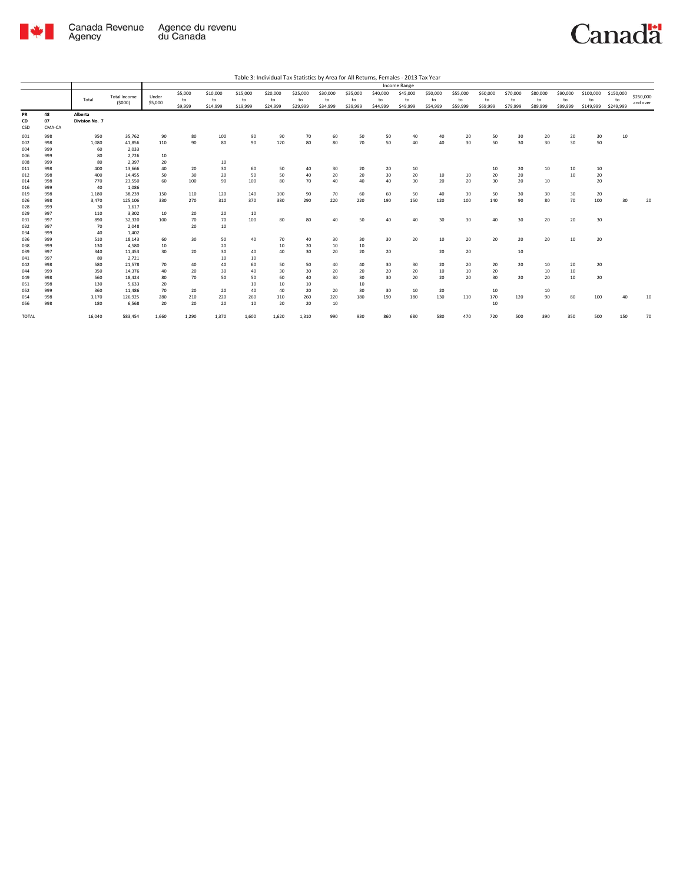

|                 |                    |                           |                               |                  |                          |                            |                            |                            |                            |                            |                            |                            | Income Range               |                            |                            |                            |                            |                            |                            |                              |                              |                       |
|-----------------|--------------------|---------------------------|-------------------------------|------------------|--------------------------|----------------------------|----------------------------|----------------------------|----------------------------|----------------------------|----------------------------|----------------------------|----------------------------|----------------------------|----------------------------|----------------------------|----------------------------|----------------------------|----------------------------|------------------------------|------------------------------|-----------------------|
|                 |                    | Total                     | <b>Total Income</b><br>(5000) | Under<br>\$5,000 | \$5,000<br>to<br>\$9,999 | \$10,000<br>to<br>\$14,999 | \$15,000<br>to<br>\$19,999 | \$20,000<br>to<br>\$24,999 | \$25,000<br>to<br>\$29,999 | \$30,000<br>to<br>\$34,999 | \$35,000<br>to<br>\$39,999 | \$40,000<br>to<br>\$44,999 | \$45,000<br>to<br>\$49,999 | \$50,000<br>to<br>\$54,999 | \$55,000<br>to<br>\$59,999 | \$60,000<br>to<br>\$69,999 | \$70,000<br>to<br>\$79,999 | \$80,000<br>to<br>\$89,999 | \$90,000<br>to<br>\$99,999 | \$100,000<br>to<br>\$149,999 | \$150,000<br>to<br>\$249,999 | \$250,000<br>and over |
| PR<br>CD<br>CSD | 48<br>07<br>CMA-CA | Alberta<br>Division No. 7 |                               |                  |                          |                            |                            |                            |                            |                            |                            |                            |                            |                            |                            |                            |                            |                            |                            |                              |                              |                       |
| 001             | 998                | 950                       | 35,762                        | 90               | 80                       | 100                        | 90                         | 90                         | 70                         | 60                         | 50                         | 50                         | 40                         | 40                         | 20                         | 50                         | 30                         | 20                         | 20                         | 30                           | 10                           |                       |
| 002             | 998                | 1,080                     | 41,856                        | 110              | 90                       | 80                         | 90                         | 120                        | 80                         | 80                         | 70                         | 50                         | 40                         | 40                         | 30                         | 50                         | 30                         | 30                         | 30                         | 50                           |                              |                       |
| 004             | 999                | 60                        | 2,033                         |                  |                          |                            |                            |                            |                            |                            |                            |                            |                            |                            |                            |                            |                            |                            |                            |                              |                              |                       |
| 006             | 999                | 80                        | 2,726                         | 10               |                          |                            |                            |                            |                            |                            |                            |                            |                            |                            |                            |                            |                            |                            |                            |                              |                              |                       |
| 008             | 999                | 80                        | 2,397                         | 20               |                          | 10                         |                            |                            |                            |                            |                            |                            |                            |                            |                            |                            |                            |                            |                            |                              |                              |                       |
| 011             | 998                | 400                       | 13,666                        | 40               | 20                       | 30                         | 60                         | 50                         | 40                         | 30                         | 20                         | 20                         | 10                         |                            |                            | 10                         | 20                         | 10                         | 10                         | 10                           |                              |                       |
| 012             | 998                | 400                       | 14,455                        | 50               | 30                       | 20                         | 50                         | 50                         | 40                         | 20                         | 20                         | 30                         | 20                         | 10                         | 10                         | 20                         | 20                         |                            | 10                         | 20                           |                              |                       |
| 014             | 998                | 770                       | 23,550                        | 60               | 100                      | 90                         | 100                        | 80                         | 70                         | 40                         | 40                         | 40                         | 30                         | 20                         | 20                         | 30                         | 20                         | 10                         |                            | 20                           |                              |                       |
| 016             | 999                | 40                        | 1,086                         |                  |                          |                            |                            |                            |                            |                            |                            |                            |                            |                            |                            |                            |                            |                            |                            |                              |                              |                       |
| 019             | 998                | 1,180                     | 38,239                        | 150              | 110                      | 120                        | 140                        | 100                        | 90                         | 70                         | 60                         | 60                         | 50                         | 40                         | 30                         | 50                         | 30                         | 30                         | 30                         | 20                           |                              |                       |
| 026             | 998                | 3,470                     | 125,106                       | 330              | 270                      | 310                        | 370                        | 380                        | 290                        | 220                        | 220                        | 190                        | 150                        | 120                        | 100                        | 140                        | 90                         | 80                         | 70                         | 100                          | 30                           | 20                    |
| 028             | 999                | 30                        | 1,617                         |                  |                          |                            |                            |                            |                            |                            |                            |                            |                            |                            |                            |                            |                            |                            |                            |                              |                              |                       |
| 029             | 997                | 110                       | 3,302                         | 10               | 20                       | 20                         | 10                         |                            |                            |                            |                            |                            |                            |                            |                            |                            |                            |                            |                            |                              |                              |                       |
| 031             | 997                | 890                       | 32,320                        | 100              | 70                       | 70                         | 100                        | 80                         | 80                         | 40                         | 50                         | 40                         | 40                         | 30                         | 30                         | 40                         | 30                         | 20                         | 20                         | 30                           |                              |                       |
| 032             | 997                | 70                        | 2,048                         |                  | 20                       | 10                         |                            |                            |                            |                            |                            |                            |                            |                            |                            |                            |                            |                            |                            |                              |                              |                       |
| 034             | 999<br>999         | 40                        | 1,402                         |                  | 30                       |                            |                            |                            |                            |                            |                            | 30                         | 20                         |                            |                            | 20                         | 20                         | 20                         | 10                         |                              |                              |                       |
| 036<br>038      | 999                | 510<br>130                | 18,143<br>4,580               | 60<br>10         |                          | 50<br>20                   | 40                         | 70<br>10                   | 40<br>20                   | 30<br>10                   | 30<br>10                   |                            |                            | 10                         | 20                         |                            |                            |                            |                            | 20                           |                              |                       |
| 039             | 997                | 340                       | 11,453                        | 30               | 20                       | 30                         | 40                         | 40                         | 30                         | 20                         | 20                         | 20                         |                            | 20                         | 20                         |                            | $10\,$                     |                            |                            |                              |                              |                       |
| 041             | 997                | 80                        | 2,721                         |                  |                          | 10                         | 10                         |                            |                            |                            |                            |                            |                            |                            |                            |                            |                            |                            |                            |                              |                              |                       |
| 042             | 998                | 580                       | 21,578                        | 70               | 40                       | 40                         | 60                         | 50                         | 50                         | 40                         | 40                         | 30                         | 30                         | 20                         | 20                         | 20                         | 20                         | 10                         | 20                         | 20                           |                              |                       |
| 044             | 999                | 350                       | 14,376                        | 40               | 20                       | 30                         | 40                         | 30                         | 30                         | 20                         | 20                         | 20                         | 20                         | 10                         | 10                         | 20                         |                            | 10                         | 10                         |                              |                              |                       |
| 049             | 998                | 560                       | 18,424                        | 80               | 70                       | 50                         | 50                         | 60                         | 40                         | 30                         | 30                         | 30                         | 20                         | 20                         | 20                         | 30                         | 20                         | 20                         | 10                         | 20                           |                              |                       |
| 051             | 998                | 130                       | 5,633                         | 20               |                          |                            | 10                         | 10                         | 10                         |                            | 10                         |                            |                            |                            |                            |                            |                            |                            |                            |                              |                              |                       |
| 052             | 999                | 360                       | 11,486                        | 70               | 20                       | 20                         | 40                         | 40                         | 20                         | 20                         | 30                         | 30                         | 10                         | 20                         |                            | 10                         |                            | 10                         |                            |                              |                              |                       |
| 054             | 998                | 3,170                     | 126,925                       | 280              | 210                      | 220                        | 260                        | 310                        | 260                        | 220                        | 180                        | 190                        | 180                        | 130                        | 110                        | 170                        | 120                        | 90                         | 80                         | 100                          | 40                           | 10                    |
| 056             | 998                | 180                       | 6,568                         | 20               | 20                       | 20                         | 10                         | 20                         | 20                         | 10                         |                            |                            |                            |                            |                            | 10                         |                            |                            |                            |                              |                              |                       |
| <b>TOTAL</b>    |                    | 16,040                    | 583,454                       | 1,660            | 1,290                    | 1,370                      | 1.600                      | 1,620                      | 1,310                      | 990                        | 930                        | 860                        | 680                        | 580                        | 470                        | 720                        | 500                        | 390                        | 350                        | 500                          | 150                          | 70                    |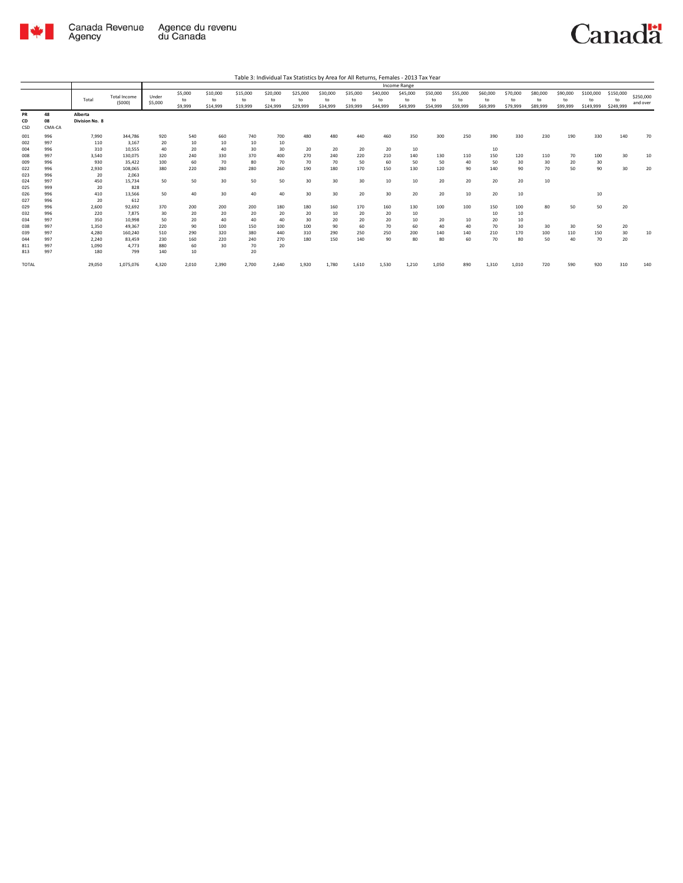

Agency

813 997 180 799 140 10 20

Total Total Income (\$000) Under \$5,000 \$5,000 to \$9,999 \$10,000 to \$14,999 \$15,000 to \$19,999 \$20,000 to \$24,999 \$25,000 to \$29,999 \$30,000 to \$34,999 \$35,000 to \$39,999 \$40,000 to \$44,999 \$45,000 to \$49,999 \$50,000 to \$54,999 \$55,000 to \$59,999 \$60,000 to \$69,999 \$70,000 to \$79,999 \$80,000 to \$89,999 \$90,000 to \$99,999 \$100,000 to \$149,999 \$150,000 to \$249,999 \$250,000 and over Table 3: Individual Tax Statistics by Area for All Returns, Females - 2013 Tax Year Income Range **PR 48 Alberta CD 08 Division No. 8**<br>
CD **08 Division No. 8**<br>
CSD **CMA-CA** CSD CMA-CA 001 996 7,990 344,786 920 540 660 740 700 480 480 440 460 350 300 250 390 330 230 190 330 140 70 002 997 110 3,167 20 10 10 10 10 004 996 310 10,555 40 20 40 30 30 20 20 20 20 10 10 008 997 3,540 130,075 320 240 330 370 400 270 240 220 210 140 130 110 150 120 110 70 100 30 10 009 996 930 35,422 100 60 70 80 70 70 70 50 60 50 50 40 50 30 30 20 30 022 996 2,930 108,065 380 220 280 280 260 190 180 170 150 130 120 90 140 90 70 50 90 30 20  $\begin{array}{cccc} 001 & 996 & 7,990 & 344,786 \\ 002 & 997 & 110 & 3,167 \\ 008 & 997 & 3540 & 130,075 \\ 009 & 997 & 3,540 & 130,075 \\ 009 & 996 & 930 & 35,422 \\ 022 & 996 & 2,930 & 108,065 \\ 024 & 997 & 450 & 2,083 \\ 025 & 996 & 410 & 13,566 \\ 022 & 996 & 2,00 & 92,$ 024 997 450 15,734 50 50 30 50 50 30 30 30 10 10 20 20 20 20 10 025 999 20 828 026 996 410 13,566 50 40 30 40 40 30 30 20 30 20 20 10 20 10 10 027 996 20 612 029 996 2,600 92,692 370 200 200 200 180 180 160 170 160 130 100 100 150 100 80 50 50 20 032 996 220 7,875 30 20 20 20 20 20 10 20 20 10 10 10 034 997 350 10,998 50 20 40 40 40 30 20 20 20 10 20 10 20 10 038 997 1,350 49,367 220 90 100 150 100 100 90 60 70 60 40 40 70 30 30 30 50 20 039 997 4,280 160,240 510 290 320 380 440 310 290 250 250 200 140 140 210 170 100 110 150 30 10 044 997 2,240 83,459 230 160 220 240 270 180 150 140 90 80 80 60 70 80 50 40 70 20 811 997 1,090 4,773 880 60 30 70 20

TOTAL 29,050 1,075,076 4,320 2,010 2,390 2,700 2,640 1,920 1,780 1,610 1,530 1,210 1,050 890 1,310 1,010 720 590 920 310 140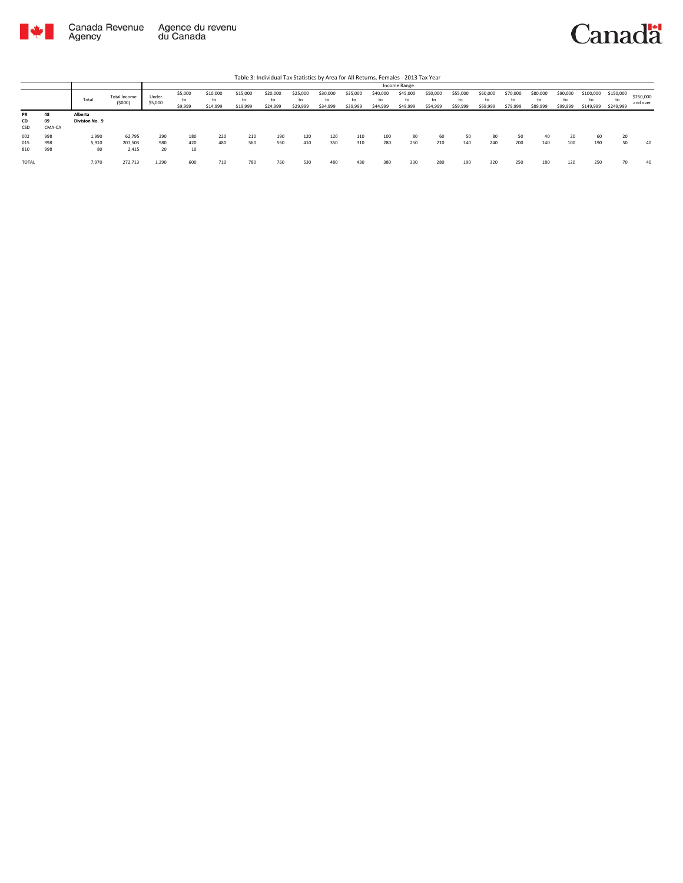

|                   |                    |                           |                            |                  |                          |                            |                            | Table 3: Individual Tax Statistics by Area for All Returns, Females - 2013 Tax Year |                            |                            |                            |                            |                            |                            |                            |                            |                            |                            |                            |                              |                              |                       |
|-------------------|--------------------|---------------------------|----------------------------|------------------|--------------------------|----------------------------|----------------------------|-------------------------------------------------------------------------------------|----------------------------|----------------------------|----------------------------|----------------------------|----------------------------|----------------------------|----------------------------|----------------------------|----------------------------|----------------------------|----------------------------|------------------------------|------------------------------|-----------------------|
|                   |                    |                           |                            |                  |                          |                            |                            |                                                                                     |                            |                            |                            |                            | Income Range               |                            |                            |                            |                            |                            |                            |                              |                              |                       |
|                   |                    | Total                     | Total Income<br>(5000)     | Under<br>\$5,000 | \$5,000<br>to<br>\$9,999 | \$10,000<br>to<br>\$14,999 | \$15,000<br>to<br>\$19,999 | \$20,000<br>to<br>\$24,999                                                          | \$25,000<br>to<br>\$29,999 | \$30,000<br>tο<br>\$34,999 | \$35,000<br>to<br>\$39,999 | \$40,000<br>to<br>\$44,999 | \$45,000<br>to<br>\$49,999 | \$50,000<br>to<br>\$54,999 | \$55,000<br>to<br>\$59,999 | \$60,000<br>to<br>\$69,999 | \$70,000<br>to<br>\$79,999 | \$80,000<br>to<br>\$89,999 | \$90,000<br>to<br>\$99,999 | \$100,000<br>to<br>\$149,999 | \$150,000<br>to<br>\$249,999 | \$250,000<br>and over |
| PR<br>CD<br>CSD   | 48<br>09<br>CMA-CA | Alberta<br>Division No. 9 |                            |                  |                          |                            |                            |                                                                                     |                            |                            |                            |                            |                            |                            |                            |                            |                            |                            |                            |                              |                              |                       |
| 002<br>015<br>810 | 998<br>998<br>998  | 1,990<br>5,910<br>80      | 62,795<br>207.503<br>2,415 | 290<br>980<br>20 | 180<br>420<br>10         | 220<br>480                 | 210<br>560                 | 190<br>560                                                                          | 120<br>410                 | 120<br>350                 | 110<br>310                 | 100<br>280                 | 80<br>250                  | 60<br>210                  | 50<br>140                  | 80<br>240                  | 50<br>200                  | 40<br>140                  | 20<br>100                  | 60<br>190                    | 20<br>50                     | 40                    |
| <b>TOTAL</b>      |                    | 7,970                     | 272,713                    | 1,290            | 600                      | 710                        | 780                        | 760                                                                                 | 530                        | 480                        | 430                        | 380                        | 330                        | 280                        | 190                        | 320                        | 250                        | 180                        | 120                        | 250                          | 70                           | 40                    |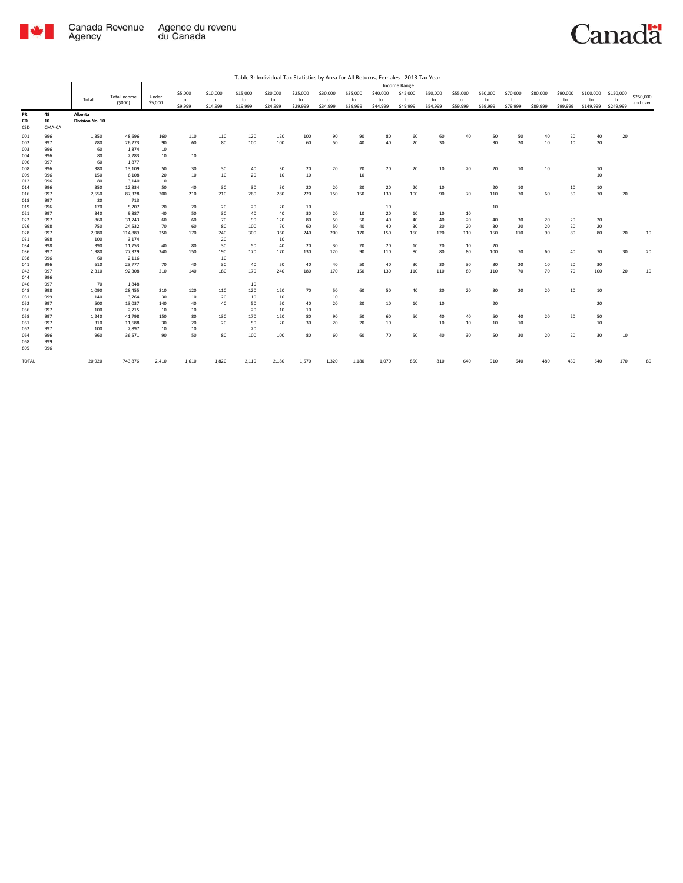

|                 |                    |                            |                               |                  |                          |                            |                            |                            |                            |                            |                            |                            | Income Range               |                            |                            |                            |                            |                            |                            |                              |                              |                       |
|-----------------|--------------------|----------------------------|-------------------------------|------------------|--------------------------|----------------------------|----------------------------|----------------------------|----------------------------|----------------------------|----------------------------|----------------------------|----------------------------|----------------------------|----------------------------|----------------------------|----------------------------|----------------------------|----------------------------|------------------------------|------------------------------|-----------------------|
|                 |                    | Total                      | <b>Total Income</b><br>(5000) | Under<br>\$5,000 | \$5,000<br>to<br>\$9,999 | \$10,000<br>to<br>\$14,999 | \$15,000<br>to<br>\$19,999 | \$20,000<br>to<br>\$24,999 | \$25,000<br>to<br>\$29,999 | \$30,000<br>to<br>\$34,999 | \$35,000<br>to<br>\$39,999 | \$40,000<br>to<br>\$44,999 | \$45,000<br>to<br>\$49,999 | \$50,000<br>to<br>\$54,999 | \$55,000<br>to<br>\$59,999 | \$60,000<br>to<br>\$69,999 | \$70,000<br>to<br>\$79,999 | \$80,000<br>to<br>\$89,999 | \$90,000<br>to<br>\$99,999 | \$100,000<br>to<br>\$149,999 | \$150,000<br>to<br>\$249,999 | \$250,000<br>and over |
| PR<br>CD<br>CSD | 48<br>10<br>CMA-CA | Alberta<br>Division No. 10 |                               |                  |                          |                            |                            |                            |                            |                            |                            |                            |                            |                            |                            |                            |                            |                            |                            |                              |                              |                       |
| 001             | 996                | 1,350                      | 48,696                        | 160              | 110                      | 110                        | 120                        | 120                        | 100                        | 90                         | 90                         | 80                         | 60                         | 60                         | 40                         | 50                         | 50                         | 40                         | 20                         | 40                           | 20                           |                       |
| 002             | 997                | 780                        | 26,273                        | 90               | 60                       | 80                         | 100                        | 100                        | 60                         | 50                         | 40                         | 40                         | 20                         | 30                         |                            | 30                         | 20                         | 10                         | 10                         | 20                           |                              |                       |
| 003             | 996                | 60                         | 1,874                         | 10               |                          |                            |                            |                            |                            |                            |                            |                            |                            |                            |                            |                            |                            |                            |                            |                              |                              |                       |
| 004             | 996                | 80                         | 2,283                         | 10               | 10                       |                            |                            |                            |                            |                            |                            |                            |                            |                            |                            |                            |                            |                            |                            |                              |                              |                       |
| 006             | 997                | 60                         | 1,877                         |                  |                          |                            |                            |                            |                            |                            |                            |                            |                            |                            |                            |                            |                            |                            |                            |                              |                              |                       |
| 008             | 996                | 380                        | 13,109                        | 50               | 30                       | 30                         | 40                         | 30                         | 20                         | 20                         | 20                         | 20                         | 20                         | 10                         | 20                         | 20                         | 10                         | 10                         |                            | 10                           |                              |                       |
| 009             | 996                | 150                        | 6.108                         | 20               | 10                       | 10                         | 20                         | 10                         | 10                         |                            | 10                         |                            |                            |                            |                            |                            |                            |                            |                            | 10                           |                              |                       |
| 012             | 996                | 80                         | 3.140                         | 10               |                          |                            |                            |                            |                            |                            |                            |                            |                            |                            |                            |                            |                            |                            |                            |                              |                              |                       |
| 014             | 996                | 350                        | 12,334                        | 50               | 40                       | 30                         | 30                         | 30                         | 20                         | 20                         | 20                         | 20                         | 20                         | 10                         |                            | 20                         | 10                         |                            | 10                         | 10                           |                              |                       |
| 016             | 997                | 2,550                      | 87,328                        | 300              | 210                      | 210                        | 260                        | 280                        | 220                        | 150                        | 150                        | 130                        | 100                        | 90                         | 70                         | 110                        | 70                         | 60                         | 50                         | 70                           | 20                           |                       |
| 018             | 997                | 20                         | 713                           |                  |                          |                            |                            |                            |                            |                            |                            |                            |                            |                            |                            |                            |                            |                            |                            |                              |                              |                       |
| 019             | 996                | 170                        | 5,207                         | 20               | 20                       | 20                         | 20                         | 20                         | 10                         |                            |                            | 10                         |                            |                            |                            | 10                         |                            |                            |                            |                              |                              |                       |
| 021             | 997                | 340                        | 9,887                         | 40               | 50                       | 30                         | 40                         | 40                         | 30                         | 20                         | 10                         | 20                         | 10                         | 10                         | 10                         |                            |                            |                            |                            |                              |                              |                       |
| 022             | 997                | 860                        | 31,743                        | 60               | 60                       | 70                         | 90                         | 120                        | 80                         | 50                         | 50                         | 40                         | 40                         | 40                         | 20                         | 40                         | 30                         | 20                         | 20                         | 20                           |                              |                       |
| 026             | 998                | 750                        | 24,532                        | 70               | 60                       | 80                         | 100                        | 70                         | 60                         | 50                         | 40                         | 40                         | 30                         | 20                         | 20                         | 30                         | 20                         | 20                         | 20                         | 20                           |                              |                       |
| 028             | 997                | 2,980                      | 114,889                       | 250              | 170                      | 240                        | 300                        | 360                        | 240                        | 200                        | 170                        | 150                        | 150                        | 120                        | 110                        | 150                        | 110                        | 90                         | 80                         | 80                           | 20                           | 10                    |
| 031             | 998                | 100                        | 3,174                         |                  |                          | 20                         |                            | 10                         |                            |                            |                            |                            |                            |                            |                            |                            |                            |                            |                            |                              |                              |                       |
| 034             | 998                | 390                        | 11,753                        | 40               | 80                       | 30                         | 50                         | 40                         | 20                         | 30                         | 20                         | 20                         | 10                         | 20                         | 10                         | 20                         |                            |                            |                            |                              |                              |                       |
| 036             | 997                | 1,980                      | 77,329                        | 240              | 150                      | 190                        | 170                        | 170                        | 130                        | 120                        | 90                         | 110                        | 80                         | 80                         | 80                         | 100                        | 70                         | 60                         | 40                         | 70                           | 30                           | 20                    |
| 038             | 996                | 60                         | 2,116                         |                  |                          | 10                         |                            |                            |                            |                            |                            |                            |                            |                            |                            |                            |                            |                            |                            |                              |                              |                       |
| 041             | 996                | 610                        | 23,777                        | 70               | 40                       | 30                         | 40                         | 50                         | 40                         | 40                         | 50                         | 40                         | 30                         | 30                         | 30                         | 30                         | 20                         | 10                         | 20                         | 30                           |                              |                       |
| 042<br>044      | 997<br>996         | 2,310                      | 92.308                        | 210              | 140                      | 180                        | 170                        | 240                        | 180                        | 170                        | 150                        | 130                        | 110                        | 110                        | 80                         | 110                        | 70                         | 70                         | 70                         | 100                          | 20                           | 10                    |
| 046             | 997                | 70                         | 1,848                         |                  |                          |                            | 10                         |                            |                            |                            |                            |                            |                            |                            |                            |                            |                            |                            |                            |                              |                              |                       |
| 048             | 998                | 1,090                      | 28,455                        | 210              | 120                      | 110                        | 120                        | 120                        | 70                         | 50                         | 60                         | 50                         | 40                         | 20                         | 20                         | 30                         | 20                         | 20                         | 10                         | 10                           |                              |                       |
| 051             | 999                | 140                        | 3,764                         | 30               | 10                       | 20                         | 10                         | 10                         |                            | 10                         |                            |                            |                            |                            |                            |                            |                            |                            |                            |                              |                              |                       |
| 052             | 997                | 500                        | 13,037                        | 140              | 40                       | 40                         | 50                         | 50                         | 40                         | 20                         | 20                         | 10                         | 10                         | 10                         |                            | 20                         |                            |                            |                            | 20                           |                              |                       |
| 056             | 997                | 100                        | 2,715                         | 10               | 10                       |                            | 20                         | 10                         | 10                         |                            |                            |                            |                            |                            |                            |                            |                            |                            |                            |                              |                              |                       |
| 058             | 997                | 1,240                      | 41,798                        | 150              | 80                       | 130                        | 170                        | 120                        | 80                         | 90                         | 50                         | 60                         | 50                         | 40                         | 40                         | 50                         | 40                         | 20                         | 20                         | 50                           |                              |                       |
| 061             | 997                | 310                        | 11,688                        | 30               | 20                       | 20                         | 50                         | 20                         | 30                         | 20                         | 20                         | 10                         |                            | 10                         | 10                         | 10                         | 10                         |                            |                            | 10                           |                              |                       |
| 062             | 997                | 100                        | 2,897                         | 10               | 10                       |                            | 20                         |                            |                            |                            |                            |                            |                            |                            |                            |                            |                            |                            |                            |                              |                              |                       |
| 064             | 996                | 960                        | 36,571                        | 90               | 50                       | 80                         | 100                        | 100                        | 80                         | 60                         | 60                         | 70                         | 50                         | 40                         | 30                         | 50                         | 30                         | 20                         | 20                         | 30                           | 10                           |                       |
| 068             | 999                |                            |                               |                  |                          |                            |                            |                            |                            |                            |                            |                            |                            |                            |                            |                            |                            |                            |                            |                              |                              |                       |
| 805             | 996                |                            |                               |                  |                          |                            |                            |                            |                            |                            |                            |                            |                            |                            |                            |                            |                            |                            |                            |                              |                              |                       |
| <b>TOTAL</b>    |                    | 20,920                     | 743,876                       | 2,410            | 1,610                    | 1,820                      | 2,110                      | 2,180                      | 1,570                      | 1,320                      | 1,180                      | 1,070                      | 850                        | 810                        | 640                        | 910                        | 640                        | 480                        | 430                        | 640                          | 170                          | 80                    |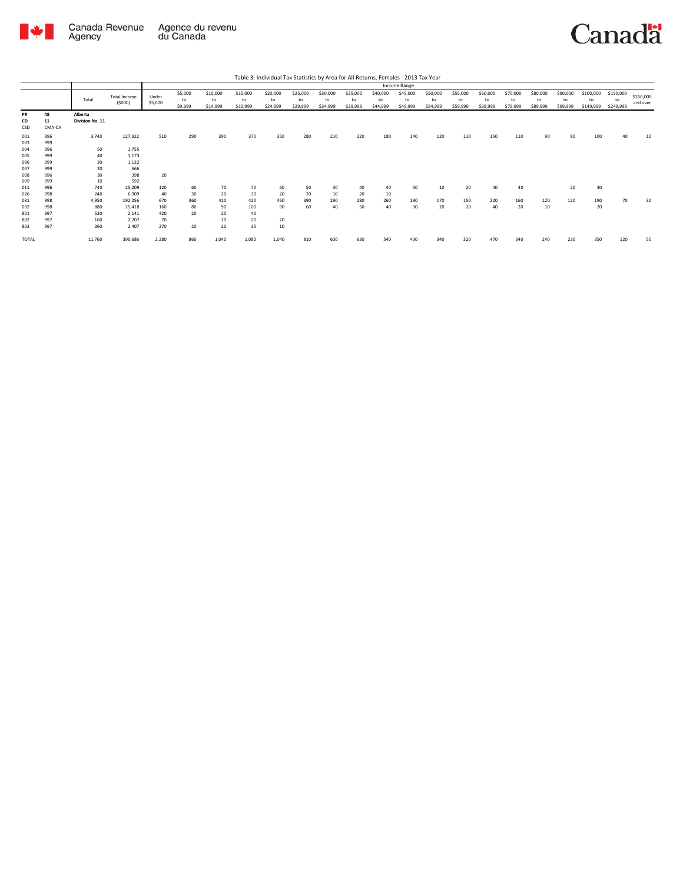

|                        |                    |                            |                        |                  |                          |                            |                            | Table 3: Individual Tax Statistics by Area for All Returns, Females - 2013 Tax Year |                            |                            |                            |                            |                            |                            |                            |                            |                            |                            |                            |                              |                              |                       |
|------------------------|--------------------|----------------------------|------------------------|------------------|--------------------------|----------------------------|----------------------------|-------------------------------------------------------------------------------------|----------------------------|----------------------------|----------------------------|----------------------------|----------------------------|----------------------------|----------------------------|----------------------------|----------------------------|----------------------------|----------------------------|------------------------------|------------------------------|-----------------------|
|                        |                    |                            |                        |                  |                          |                            |                            |                                                                                     |                            |                            |                            |                            | Income Range               |                            |                            |                            |                            |                            |                            |                              |                              |                       |
|                        |                    | Total                      | Total Income<br>(5000) | Under<br>\$5,000 | \$5,000<br>to<br>\$9,999 | \$10,000<br>to<br>\$14,999 | \$15,000<br>to<br>\$19,999 | \$20,000<br>to<br>\$24,999                                                          | \$25,000<br>to<br>\$29,999 | \$30,000<br>to<br>\$34,999 | \$35,000<br>to<br>\$39,999 | \$40,000<br>to<br>\$44,999 | \$45,000<br>to<br>\$49,999 | \$50,000<br>to<br>\$54,999 | \$55,000<br>to<br>\$59,999 | \$60,000<br>to<br>\$69,999 | \$70,000<br>to<br>\$79,999 | \$80,000<br>to<br>\$89,999 | \$90,000<br>to<br>\$99,999 | \$100,000<br>to<br>\$149,999 | \$150,000<br>to<br>\$249,999 | \$250,000<br>and over |
| <b>PR</b><br>CD<br>CSD | 48<br>11<br>CMA-CA | Alberta<br>Division No. 11 |                        |                  |                          |                            |                            |                                                                                     |                            |                            |                            |                            |                            |                            |                            |                            |                            |                            |                            |                              |                              |                       |
| 001<br>003             | 996<br>999         | 3,740                      | 127,922                | 510              | 290                      | 390                        | 370                        | 350                                                                                 | 280                        | 210                        | 220                        | 180                        | 140                        | 120                        | 110                        | 150                        | 110                        | 90                         | 80                         | 100                          | 40                           | 10                    |
| 004<br>005             | 996<br>999         | 50<br>40                   | 1,755<br>1,173         |                  |                          |                            |                            |                                                                                     |                            |                            |                            |                            |                            |                            |                            |                            |                            |                            |                            |                              |                              |                       |
| 006<br>007             | 999<br>999         | 30<br>20                   | 1,132<br>666           |                  |                          |                            |                            |                                                                                     |                            |                            |                            |                            |                            |                            |                            |                            |                            |                            |                            |                              |                              |                       |
| 008<br>009             | 996<br>999         | 30<br>10                   | 398<br>592             | 20               |                          |                            |                            |                                                                                     |                            |                            |                            |                            |                            |                            |                            |                            |                            |                            |                            |                              |                              |                       |
| 011<br>026             | 996<br>998         | 740<br>240                 | 25,209<br>6.909        | 120<br>40        | 60<br>30                 | 70<br>20                   | 70<br>30                   | 60<br>20                                                                            | 50<br>20                   | 30<br>10                   | 40<br>20                   | 40<br>10                   | 50                         | 10                         | 20                         | 40                         | 40                         |                            | 20                         | 30                           |                              |                       |
| 031                    | 998                | 4,950                      | 192.256                | 670              | 360                      | 410                        | 420                        | 460                                                                                 | 390                        | 290                        | 280                        | 260                        | 190                        | 170                        | 150                        | 220                        | 160                        | 120                        | 120                        | 190                          | 70                           | 30                    |
| 032<br>801             | 998<br>997         | 880<br>520                 | 25,418<br>2.141        | 160<br>420       | 80<br>20                 | 90<br>20                   | 100<br>40                  | 90                                                                                  | 60                         | 40                         | 50                         | 40                         | 30                         | 20                         | 20                         | 40                         | 20                         | 10                         |                            | 20                           |                              |                       |
| 802<br>803             | 997<br>997         | 160<br>360                 | 2.707<br>2.407         | 70<br>270        | 20                       | 10<br>20                   | 20<br>30                   | 20<br>10                                                                            |                            |                            |                            |                            |                            |                            |                            |                            |                            |                            |                            |                              |                              |                       |
| <b>TOTAL</b>           |                    | 11.760                     | 390,686                | 2,280            | 860                      | 1.040                      | 1.080                      | 1,040                                                                               | 810                        | 600                        | 630                        | 540                        | 430                        | 340                        | 320                        | 470                        | 340                        | 240                        | 230                        | 350                          | 120                          | 50                    |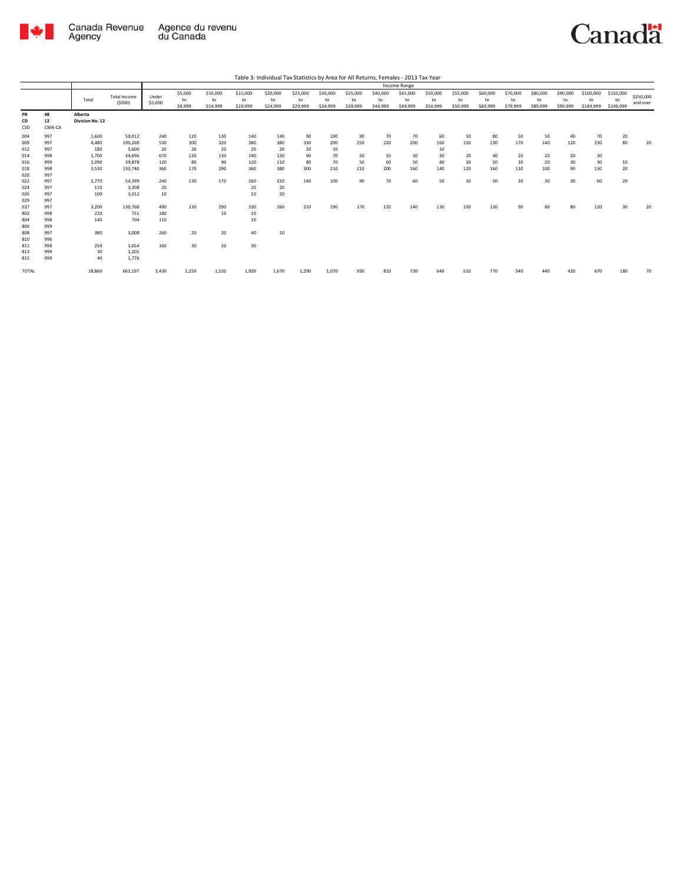

|                 |                    |                            |                               |                  |                          |                            |                            |                            |                            |                            |                            |                            | <b>Income Range</b>        |                            |                            |                            |                            |                            |                            |                              |                              |                       |
|-----------------|--------------------|----------------------------|-------------------------------|------------------|--------------------------|----------------------------|----------------------------|----------------------------|----------------------------|----------------------------|----------------------------|----------------------------|----------------------------|----------------------------|----------------------------|----------------------------|----------------------------|----------------------------|----------------------------|------------------------------|------------------------------|-----------------------|
|                 |                    | Total                      | <b>Total Income</b><br>(5000) | Under<br>\$5,000 | \$5,000<br>to<br>\$9,999 | \$10,000<br>to<br>\$14,999 | \$15,000<br>to<br>\$19,999 | \$20,000<br>to<br>\$24,999 | \$25,000<br>to<br>\$29,999 | \$30,000<br>to<br>\$34,999 | \$35,000<br>to<br>\$39,999 | \$40,000<br>to<br>\$44,999 | \$45,000<br>to<br>\$49,999 | \$50,000<br>to<br>\$54,999 | \$55,000<br>to<br>\$59,999 | \$60,000<br>to<br>\$69,999 | \$70,000<br>to<br>\$79,999 | \$80,000<br>to<br>\$89,999 | \$90,000<br>to<br>\$99,999 | \$100,000<br>to<br>\$149,999 | \$150,000<br>to<br>\$249,999 | \$250,000<br>and over |
| PR<br>CD<br>CSD | 48<br>12<br>CMA-CA | Alberta<br>Division No. 12 |                               |                  |                          |                            |                            |                            |                            |                            |                            |                            |                            |                            |                            |                            |                            |                            |                            |                              |                              |                       |
|                 |                    |                            |                               |                  | 120                      |                            | 140                        |                            |                            |                            |                            | 70                         |                            |                            |                            |                            |                            |                            |                            | 70                           |                              |                       |
| 004<br>009      | 997<br>997         | 1,600<br>4,480             | 59,012<br>190,269             | 240<br>530       | 300                      | 130<br>320                 | 380                        | 140<br>380                 | 90<br>330                  | 100<br>290                 | 90<br>250                  | 220                        | 70<br>200                  | 60<br>160                  | 50<br>150                  | 80<br>230                  | 50<br>170                  | 50<br>140                  | 40<br>120                  | 230                          | 20<br>80                     | 20                    |
| 012             | 997                | 180                        | 5,600                         | 20               | 20                       | 20                         | 20                         | 20                         | 20                         | 10                         |                            |                            |                            | 10                         |                            |                            |                            |                            |                            |                              |                              |                       |
| 014             | 998                | 1,700                      | 34,696                        | 670              | 120                      | 130                        | 190                        | 120                        | 90                         | 70                         | 50                         | 50                         | 30                         | 30                         | 20                         | 40                         | 20                         | 20                         | 20                         | 30                           |                              |                       |
| 016             | 999                | 1,090                      | 39,878                        | 120              | 80                       | 90                         | 120                        | 110                        | 80                         | 70                         | 50                         | 60                         | 50                         | 40                         | 30                         | 50                         | 30                         | 20                         | 30                         | 30                           | 10                           |                       |
| 018             | 998                | 3,530                      | 130,740                       | 360              | 170                      | 290                        | 360                        | 380                        | 300                        | 210                        | 210                        | 200                        | 160                        | 140                        | 120                        | 160                        | 130                        | 100                        | 90                         | 130                          | 20                           |                       |
| 020             | 997                |                            |                               |                  |                          |                            |                            |                            |                            |                            |                            |                            |                            |                            |                            |                            |                            |                            |                            |                              |                              |                       |
| 022             | 997                | 1,770                      | 54,399                        | 240              | 130                      | 170                        | 260                        | 210                        | 140                        | 100                        | 90                         | 70                         | 60                         | 50                         | 30                         | 50                         | 20                         | 30                         | 30                         | 60                           | 20                           |                       |
| 024             | 997                | 110                        | 3,308                         | 20               |                          |                            | 20                         | 20                         |                            |                            |                            |                            |                            |                            |                            |                            |                            |                            |                            |                              |                              |                       |
| 026             | 997                | 100                        | 3,312                         | 10               |                          |                            | 10                         | 20                         |                            |                            |                            |                            |                            |                            |                            |                            |                            |                            |                            |                              |                              |                       |
| 029             | 997                |                            |                               |                  |                          |                            |                            |                            |                            |                            |                            |                            |                            |                            |                            |                            |                            |                            |                            |                              |                              |                       |
| 037             | 997                | 3,200                      | 130,768                       | 490              | 230                      | 290                        | 330                        | 260                        | 210                        | 190                        | 170                        | 120                        | 140                        | 130                        | 100                        | 130                        | 90                         | 80                         | 80                         | 120                          | 30                           | 20                    |
| 802             | 998                | 220                        | 751                           | 180              |                          | 10                         | 10                         |                            |                            |                            |                            |                            |                            |                            |                            |                            |                            |                            |                            |                              |                              |                       |
| 804             | 998                | 140                        | 704                           | 110              |                          |                            | 10                         |                            |                            |                            |                            |                            |                            |                            |                            |                            |                            |                            |                            |                              |                              |                       |
| 806             | 999                |                            |                               |                  |                          |                            |                            |                            |                            |                            |                            |                            |                            |                            |                            |                            |                            |                            |                            |                              |                              |                       |
| 808             | 997                | 380                        | 3,008                         | 260              | 20                       | 20                         | 40                         | 10                         |                            |                            |                            |                            |                            |                            |                            |                            |                            |                            |                            |                              |                              |                       |
| 810             | 996                |                            |                               |                  |                          |                            |                            |                            |                            |                            |                            |                            |                            |                            |                            |                            |                            |                            |                            |                              |                              |                       |
| 811             | 998                | 250                        | 1.654                         | 160              | 30                       | 20                         | 30                         |                            |                            |                            |                            |                            |                            |                            |                            |                            |                            |                            |                            |                              |                              |                       |
| 813             | 999                | 30                         | 1,201                         |                  |                          |                            |                            |                            |                            |                            |                            |                            |                            |                            |                            |                            |                            |                            |                            |                              |                              |                       |
| 815             | 999                | 40                         | 1,776                         |                  |                          |                            |                            |                            |                            |                            |                            |                            |                            |                            |                            |                            |                            |                            |                            |                              |                              |                       |
| TOTAL           |                    | 18,860                     | 661,197                       | 3,430            | 1,250                    | 1,520                      | 1,920                      | 1,670                      | 1,290                      | 1,070                      | 930                        | 810                        | 730                        | 640                        | 510                        | 770                        | 540                        | 440                        | 420                        | 670                          | 180                          | 70                    |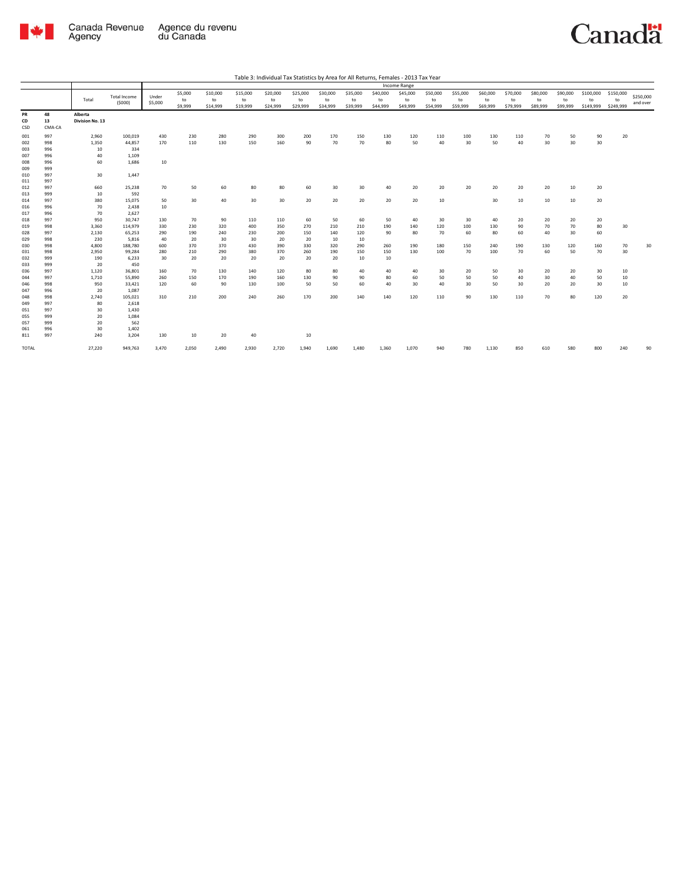

|                 |                    |                            |                               |                  |                          |                            |                            |                            |                            |                            |                            |                            | Income Range               |                            |                            |                            |                            |                            |                            |                              |                              |                       |
|-----------------|--------------------|----------------------------|-------------------------------|------------------|--------------------------|----------------------------|----------------------------|----------------------------|----------------------------|----------------------------|----------------------------|----------------------------|----------------------------|----------------------------|----------------------------|----------------------------|----------------------------|----------------------------|----------------------------|------------------------------|------------------------------|-----------------------|
|                 |                    | Total                      | <b>Total Income</b><br>(5000) | Under<br>\$5,000 | \$5,000<br>to<br>\$9,999 | \$10,000<br>to<br>\$14,999 | \$15,000<br>to<br>\$19,999 | \$20,000<br>to<br>\$24,999 | \$25,000<br>to<br>\$29,999 | \$30,000<br>to<br>\$34,999 | \$35,000<br>to<br>\$39,999 | \$40,000<br>to<br>\$44,999 | \$45,000<br>to<br>\$49,999 | \$50,000<br>to<br>\$54,999 | \$55,000<br>to<br>\$59,999 | \$60,000<br>to<br>\$69,999 | \$70,000<br>to<br>\$79,999 | \$80,000<br>to<br>\$89,999 | \$90,000<br>to<br>\$99,999 | \$100,000<br>to<br>\$149,999 | \$150,000<br>to<br>\$249,999 | \$250,000<br>and over |
| PR<br>CD<br>CSD | 48<br>13<br>CMA-CA | Alberta<br>Division No. 13 |                               |                  |                          |                            |                            |                            |                            |                            |                            |                            |                            |                            |                            |                            |                            |                            |                            |                              |                              |                       |
| 001             | 997                | 2,960                      | 100,019                       | 430              | 230                      | 280                        | 290                        | 300                        | 200                        | 170                        | 150                        | 130                        | 120                        | 110                        | 100                        | 130                        | 110                        | 70                         | 50                         | 90                           | 20                           |                       |
| 002             | 998                | 1,350                      | 44,857                        | 170              | 110                      | 130                        | 150                        | 160                        | 90                         | 70                         | 70                         | 80                         | 50                         | 40                         | 30                         | 50                         | 40                         | 30                         | 30                         | 30                           |                              |                       |
| 003             | 996                | 10                         | 334                           |                  |                          |                            |                            |                            |                            |                            |                            |                            |                            |                            |                            |                            |                            |                            |                            |                              |                              |                       |
| 007             | 996                | 40                         | 1,109                         |                  |                          |                            |                            |                            |                            |                            |                            |                            |                            |                            |                            |                            |                            |                            |                            |                              |                              |                       |
| 008             | 996                | 60                         | 1,686                         | 10               |                          |                            |                            |                            |                            |                            |                            |                            |                            |                            |                            |                            |                            |                            |                            |                              |                              |                       |
| 009             | 999                |                            |                               |                  |                          |                            |                            |                            |                            |                            |                            |                            |                            |                            |                            |                            |                            |                            |                            |                              |                              |                       |
| 010             | 997                | 30                         | 1,447                         |                  |                          |                            |                            |                            |                            |                            |                            |                            |                            |                            |                            |                            |                            |                            |                            |                              |                              |                       |
| 011             | 997                |                            |                               |                  |                          |                            |                            |                            |                            |                            |                            |                            |                            |                            |                            |                            |                            |                            |                            |                              |                              |                       |
| 012             | 997                | 660                        | 25,238                        | 70               | 50                       | 60                         | 80                         | 80                         | 60                         | 30                         | 30 <sub>o</sub>            | 40                         | 20                         | 20                         | 20                         | 20                         | 20                         | 20                         | 10                         | 20                           |                              |                       |
| 013             | 999                | 10                         | 592                           |                  |                          |                            |                            |                            |                            |                            |                            |                            |                            |                            |                            |                            |                            |                            |                            |                              |                              |                       |
| 014             | 997                | 380                        | 15,075                        | 50               | 30                       | 40                         | 30                         | 30                         | 20                         | 20                         | 20                         | 20                         | 20                         | 10                         |                            | 30                         | 10                         | 10                         | 10                         | 20                           |                              |                       |
| 016             | 996                | 70                         | 2,438                         | 10               |                          |                            |                            |                            |                            |                            |                            |                            |                            |                            |                            |                            |                            |                            |                            |                              |                              |                       |
| 017             | 996                | 70                         | 2,627                         |                  |                          |                            |                            |                            |                            |                            |                            |                            |                            |                            |                            |                            |                            |                            |                            |                              |                              |                       |
| 018             | 997                | 950                        | 30,747                        | 130              | 70                       | 90                         | 110                        | 110                        | 60                         | 50                         | 60                         | 50                         | 40                         | 30                         | 30                         | 40                         | 20                         | 20                         | 20                         | 20                           |                              |                       |
| 019             | 998                | 3,360                      | 114,979                       | 330              | 230                      | 320                        | 400                        | 350                        | 270                        | 210                        | 210                        | 190                        | 140                        | 120                        | 100                        | 130                        | 90                         | 70                         | 70                         | 80                           | 30                           |                       |
| 028             | 997<br>998         | 2,130                      | 65,253                        | 290              | 190                      | 240                        | 230                        | 200                        | 150                        | 140                        | 120                        | 90                         | 80                         | 70                         | 60                         | 80                         | 60                         | 40                         | 30                         | 60                           |                              |                       |
| 029             | 998                | 230<br>4,800               | 5,816<br>188,780              | 40<br>600        | 20<br>370                | 30<br>370                  | 30<br>430                  | 20<br>390                  | 20                         | 10<br>320                  | 10<br>290                  | 260                        | 190                        | 180                        | 150                        | 240                        | 190                        | 130                        | 120                        | 160                          | 70                           | 30                    |
| 030             | 998                | 2,950                      | 99,284                        | 280              | 210                      | 290                        | 380                        | 370                        | 330<br>260                 | 190                        | 150                        | 150                        | 130                        | 100                        | 70                         | 100                        | 70                         | 60                         | 50                         | 70                           | 30                           |                       |
| 031<br>032      | 999                | 190                        | 6,233                         | 30               | 20                       | 20                         | 20                         | 20                         | 20                         | 20                         | 10                         | 10                         |                            |                            |                            |                            |                            |                            |                            |                              |                              |                       |
| 033             | 999                | 20                         | 450                           |                  |                          |                            |                            |                            |                            |                            |                            |                            |                            |                            |                            |                            |                            |                            |                            |                              |                              |                       |
| 036             | 997                | 1,120                      | 36,801                        | 160              | 70                       | 130                        | 140                        | 120                        | 80                         | 80                         | 40                         | 40                         | 40                         | 30                         | 20                         | 50                         | 30                         | 20                         | 20                         | 30                           | 10                           |                       |
| 044             | 997                | 1,710                      | 55,890                        | 260              | 150                      | 170                        | 190                        | 160                        | 130                        | 90                         | 90                         | 80                         | 60                         | 50                         | 50                         | 50                         | 40                         | 30                         | 40                         | 50                           | 10                           |                       |
| 046             | 998                | 950                        | 33,421                        | 120              | 60                       | 90                         | 130                        | 100                        | 50                         | 50                         | 60                         | 40                         | 30                         | 40                         | 30                         | 50                         | 30                         | 20                         | 20                         | 30                           | 10                           |                       |
| 047             | 996                | 20                         | 1,087                         |                  |                          |                            |                            |                            |                            |                            |                            |                            |                            |                            |                            |                            |                            |                            |                            |                              |                              |                       |
| 048             | 998                | 2,740                      | 105,021                       | 310              | 210                      | 200                        | 240                        | 260                        | 170                        | 200                        | 140                        | 140                        | 120                        | 110                        | 90                         | 130                        | 110                        | 70                         | 80                         | 120                          | 20                           |                       |
| 049             | 997                | 80                         | 2,618                         |                  |                          |                            |                            |                            |                            |                            |                            |                            |                            |                            |                            |                            |                            |                            |                            |                              |                              |                       |
| 051             | 997                | 30                         | 1,430                         |                  |                          |                            |                            |                            |                            |                            |                            |                            |                            |                            |                            |                            |                            |                            |                            |                              |                              |                       |
| 055             | 999                | 20                         | 1,084                         |                  |                          |                            |                            |                            |                            |                            |                            |                            |                            |                            |                            |                            |                            |                            |                            |                              |                              |                       |
| 057             | 999                | 20                         | 562                           |                  |                          |                            |                            |                            |                            |                            |                            |                            |                            |                            |                            |                            |                            |                            |                            |                              |                              |                       |
| 061             | 996                | 30                         | 1,402                         |                  |                          |                            |                            |                            |                            |                            |                            |                            |                            |                            |                            |                            |                            |                            |                            |                              |                              |                       |
| 811             | 997                | 240                        | 3,204                         | 130              | 10                       | 20                         | 40                         |                            | 10                         |                            |                            |                            |                            |                            |                            |                            |                            |                            |                            |                              |                              |                       |
| TOTAL           |                    | 27,220                     | 949,763                       | 3,470            | 2,050                    | 2,490                      | 2,930                      | 2,720                      | 1,940                      | 1,690                      | 1,480                      | 1,360                      | 1,070                      | 940                        | 780                        | 1,130                      | 850                        | 610                        | 580                        | 800                          | 240                          | 90                    |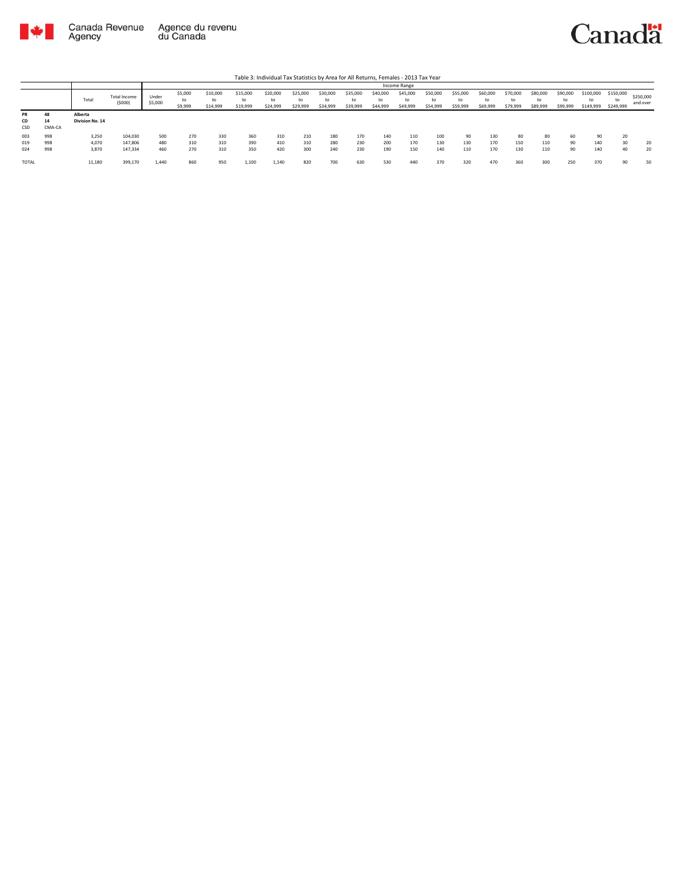

|                        |                    |                            |                        |                  |                          |                            |                            | Table 3: Individual Tax Statistics by Area for All Returns, Females - 2013 Tax Year |                            |                      |                            |                            |                            |                            |                            |                            |                            |                            |                            |                              |                              |                       |
|------------------------|--------------------|----------------------------|------------------------|------------------|--------------------------|----------------------------|----------------------------|-------------------------------------------------------------------------------------|----------------------------|----------------------|----------------------------|----------------------------|----------------------------|----------------------------|----------------------------|----------------------------|----------------------------|----------------------------|----------------------------|------------------------------|------------------------------|-----------------------|
|                        |                    |                            |                        |                  |                          |                            |                            |                                                                                     |                            |                      |                            |                            | Income Range               |                            |                            |                            |                            |                            |                            |                              |                              |                       |
|                        |                    | Total                      | Total Income<br>(5000) | Under<br>\$5,000 | \$5,000<br>to<br>\$9,999 | \$10,000<br>to<br>\$14,999 | \$15,000<br>to<br>\$19,999 | \$20,000<br>to<br>\$24,999                                                          | \$25,000<br>to<br>\$29,999 | \$30,000<br>\$34,999 | \$35,000<br>to<br>\$39,999 | \$40,000<br>to<br>\$44,999 | \$45,000<br>to<br>\$49,999 | \$50,000<br>to<br>\$54,999 | \$55,000<br>to<br>\$59,999 | \$60,000<br>to<br>\$69,999 | \$70,000<br>to<br>\$79,999 | \$80,000<br>to<br>\$89,999 | \$90,000<br>to<br>\$99,999 | \$100,000<br>to<br>\$149,999 | \$150,000<br>to<br>\$249,999 | \$250,000<br>and over |
| <b>PR</b><br>CD<br>CSD | 48<br>14<br>CMA-CA | Alberta<br>Division No. 14 |                        |                  |                          |                            |                            |                                                                                     |                            |                      |                            |                            |                            |                            |                            |                            |                            |                            |                            |                              |                              |                       |
| 003                    | 998                | 3.250                      | 104.030                | 500              | 270                      | 330                        | 360                        | 310                                                                                 | 210                        | 180                  | 170                        | 140                        | 110                        | 100                        | 90                         | 130                        | 80                         | 80                         | 60                         | 90                           | 20                           |                       |
| 019                    | 998                | 4.070                      | 147.806                | 480              | 310                      | 310                        | 390                        | 410                                                                                 | 310                        | 280                  | 230                        | 200                        | 170                        | 130                        | 130                        | 170                        | 150                        | 110                        | 90                         | 140                          | 30                           | 20                    |
| 024                    | 998                | 3,870                      | 147,334                | 460              | 270                      | 310                        | 350                        | 420                                                                                 | 300                        | 240                  | 230                        | 190                        | 150                        | 140                        | 110                        | 170                        | 130                        | 110                        | 90                         | 140                          | 40                           | 20                    |
| <b>TOTAL</b>           |                    | 11,180                     | 399,170                | 1,440            | 860                      | 950                        | 1,100                      | 1,140                                                                               | 820                        | 700                  | 630                        | 530                        | 440                        | 370                        | 320                        | 470                        | 360                        | 300                        | 250                        | 370                          | 90                           | 50                    |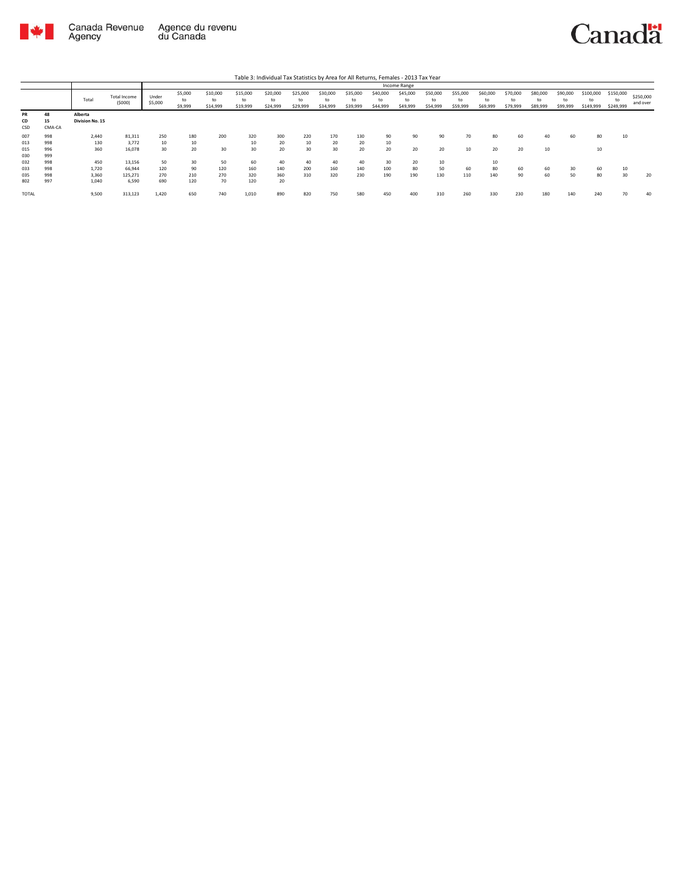

|                 |                    |                            |                               |                  |                          |                            |                            | Table 3: Individual Tax Statistics by Area for All Returns, Females - 2013 Tax Year |                            |                            |                            |                            | Income Range               |                            |                            |                            |                            |                            |                            |                              |                              |                       |
|-----------------|--------------------|----------------------------|-------------------------------|------------------|--------------------------|----------------------------|----------------------------|-------------------------------------------------------------------------------------|----------------------------|----------------------------|----------------------------|----------------------------|----------------------------|----------------------------|----------------------------|----------------------------|----------------------------|----------------------------|----------------------------|------------------------------|------------------------------|-----------------------|
|                 |                    | Total                      | <b>Total Income</b><br>(5000) | Under<br>\$5,000 | \$5,000<br>to<br>\$9,999 | \$10,000<br>to<br>\$14,999 | \$15,000<br>to<br>\$19,999 | \$20,000<br>to<br>\$24,999                                                          | \$25,000<br>to<br>\$29,999 | \$30,000<br>to<br>\$34,999 | \$35,000<br>to<br>\$39,999 | \$40,000<br>to<br>\$44,999 | \$45,000<br>to<br>\$49,999 | \$50,000<br>to<br>\$54,999 | \$55,000<br>to<br>\$59,999 | \$60,000<br>to<br>\$69,999 | \$70,000<br>to<br>\$79,999 | \$80,000<br>to<br>\$89,999 | \$90,000<br>to<br>\$99,999 | \$100,000<br>to<br>\$149,999 | \$150,000<br>to<br>\$249,999 | \$250,000<br>and over |
| PR<br>CD<br>CSD | 48<br>15<br>CMA-CA | Alberta<br>Division No. 15 |                               |                  |                          |                            |                            |                                                                                     |                            |                            |                            |                            |                            |                            |                            |                            |                            |                            |                            |                              |                              |                       |
| 007             | 998                | 2.440                      | 81,311                        | 250              | 180                      | 200                        | 320                        | 300                                                                                 | 220                        | 170                        | 130                        | 90                         | 90                         | 90                         | 70                         | 80                         | 60                         | 40                         | 60                         | 80                           | 10                           |                       |
| 013             | 998                | 130                        | 3.772                         | 10               | 10                       |                            | 10                         | 20                                                                                  | 10                         | 20                         | 20                         | 10                         |                            |                            |                            |                            |                            |                            |                            |                              |                              |                       |
| 015<br>030      | 996<br>999         | 360                        | 16.078                        | 30               | 20                       | 30                         | 30                         | 20                                                                                  | 30                         | 30                         | 20                         | 20                         | 20                         | 20                         | 10                         | 20                         | 20                         | 10                         |                            | 10                           |                              |                       |
| 032             | 998                | 450                        | 13.156                        | 50               | 30                       | 50                         | 60                         | 40                                                                                  | 40                         | 40                         | 40                         | 30                         | 20                         | 10                         |                            | 10                         |                            |                            |                            |                              |                              |                       |
| 033             | 998                | 1.720                      | 66.944                        | 120              | 90                       | 120                        | 160                        | 140                                                                                 | 200                        | 160                        | 140                        | 100                        | 80                         | 50                         | 60                         | 80                         | 60                         | 60                         | 30                         | 60                           | 10                           |                       |
| 035             | 998                | 3,360                      | 125,271                       | 270              | 210                      | 270                        | 320                        | 360                                                                                 | 310                        | 320                        | 230                        | 190                        | 190                        | 130                        | 110                        | 140                        | 90                         | 60                         | 50                         | 80                           | 30                           | 20                    |
| 802             | 997                | 1.040                      | 6.590                         | 690              | 120                      | 70                         | 120                        | 20                                                                                  |                            |                            |                            |                            |                            |                            |                            |                            |                            |                            |                            |                              |                              |                       |
| <b>TOTAL</b>    |                    | 9,500                      | 313,123                       | 1,420            | 650                      | 740                        | 1,010                      | 890                                                                                 | 820                        | 750                        | 580                        | 450                        | 400                        | 310                        | 260                        | 330                        | 230                        | 180                        | 140                        | 240                          | 70                           | 40                    |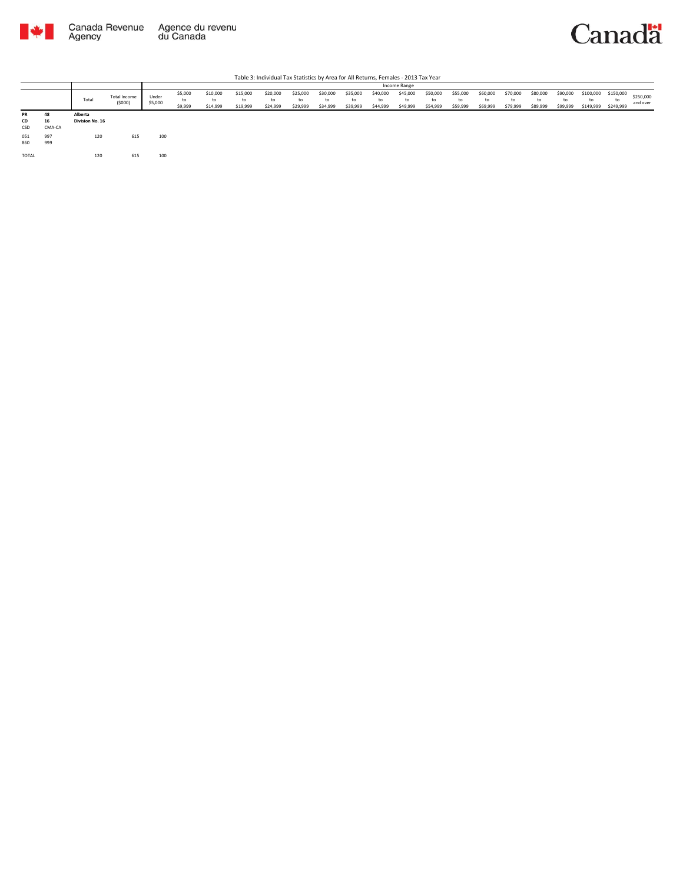



|                 |              |                            |                        |                  |                          |                            |                            |                            |                            |                            |                            |                            | Income Range               |                            |                            |                            |                            |                            |                            |                              |                              |                       |
|-----------------|--------------|----------------------------|------------------------|------------------|--------------------------|----------------------------|----------------------------|----------------------------|----------------------------|----------------------------|----------------------------|----------------------------|----------------------------|----------------------------|----------------------------|----------------------------|----------------------------|----------------------------|----------------------------|------------------------------|------------------------------|-----------------------|
|                 |              | Total                      | Total Income<br>(5000) | Under<br>\$5,000 | \$5,000<br>to<br>\$9,999 | \$10,000<br>to<br>\$14,999 | \$15,000<br>to<br>\$19,999 | \$20,000<br>to<br>\$24,999 | \$25,000<br>to<br>\$29,999 | \$30,000<br>to<br>\$34,999 | \$35,000<br>to<br>\$39,999 | \$40,000<br>to<br>\$44,999 | \$45,000<br>to<br>\$49,999 | \$50,000<br>to<br>\$54,999 | \$55,000<br>to<br>\$59,999 | \$60,000<br>to<br>\$69,999 | \$70,000<br>to<br>\$79,999 | \$80,000<br>to<br>\$89,999 | \$90,000<br>to<br>\$99,999 | \$100,000<br>to<br>\$149,999 | \$150,000<br>to<br>\$249,999 | \$250,000<br>and over |
| PR<br>CD<br>CSD | 48<br>CMA-CA | Alberta<br>Division No. 16 |                        |                  |                          |                            |                            |                            |                            |                            |                            |                            |                            |                            |                            |                            |                            |                            |                            |                              |                              |                       |
| 051<br>860      | 997<br>999   | 120                        | 615                    | 100              |                          |                            |                            |                            |                            |                            |                            |                            |                            |                            |                            |                            |                            |                            |                            |                              |                              |                       |
| TOTAL           |              | 120                        | 615                    | 100              |                          |                            |                            |                            |                            |                            |                            |                            |                            |                            |                            |                            |                            |                            |                            |                              |                              |                       |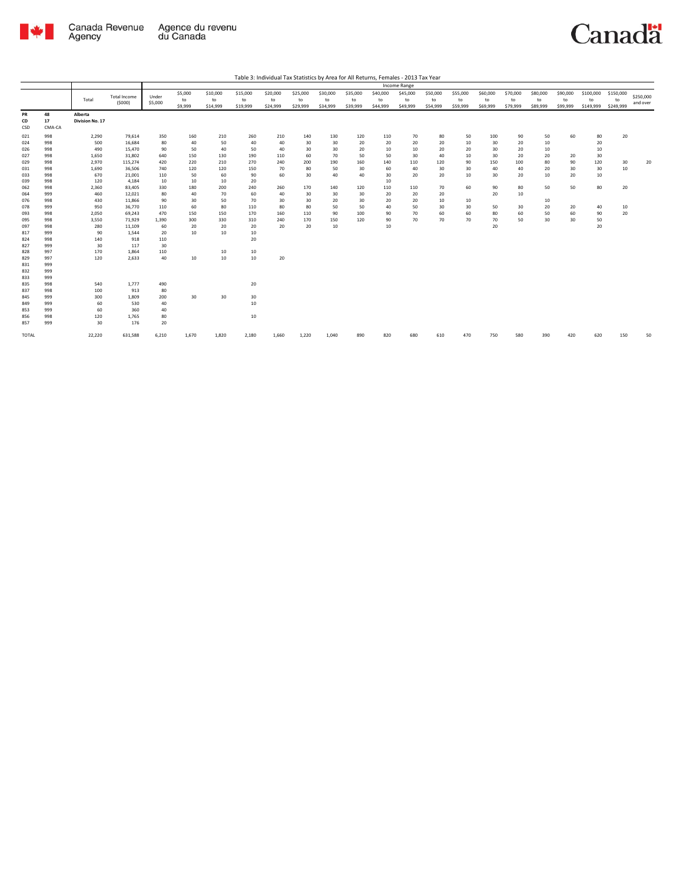

| Table 3: Individual Tax Statistics by Area for All Returns, Females - 2013 Tax Year |
|-------------------------------------------------------------------------------------|
|                                                                                     |

|                 |                    |                            |              |         |         |          |          |          |          |          |          |          | Income Range |          |          |          |          |          |          |           |           |           |
|-----------------|--------------------|----------------------------|--------------|---------|---------|----------|----------|----------|----------|----------|----------|----------|--------------|----------|----------|----------|----------|----------|----------|-----------|-----------|-----------|
|                 |                    |                            |              |         | \$5,000 | \$10,000 | \$15,000 | \$20,000 | \$25,000 | \$30,000 | \$35,000 | \$40,000 | \$45,000     | \$50,000 | \$55,000 | \$60,000 | \$70,000 | \$80,000 | \$90,000 | \$100,000 | \$150,000 | \$250,000 |
|                 |                    | Total                      | Total Income | Under   | to      | to       | to       | to       | to       | to       | to       | to       | to           | to       | to       | to       | to       | to       | to       | to        | to        |           |
|                 |                    |                            | (5000)       | \$5,000 | \$9,999 | \$14,999 | \$19,999 | \$24,999 | \$29,999 | \$34,999 | \$39,999 | \$44,999 | \$49,999     | \$54,999 | \$59,999 | \$69,999 | \$79,999 | \$89,999 | \$99,999 | \$149,999 | \$249,999 | and over  |
| PR<br>CD<br>CSD | 48<br>17<br>CMA-CA | Alberta<br>Division No. 17 |              |         |         |          |          |          |          |          |          |          |              |          |          |          |          |          |          |           |           |           |
| 021             | 998                | 2,290                      | 79,614       | 350     | 160     | 210      | 260      | 210      | 140      | 130      | 120      | 110      | 70           | 80       | 50       | 100      | 90       | 50       | 60       | 80        | 20        |           |
| 024             | 998                | 500                        | 16,684       | 80      | 40      | 50       | 40       | 40       | 30       | 30       | 20       | 20       | 20           | 20       | 10       | 30       | 20       | 10       |          | 20        |           |           |
| 026             | 998                | 490                        | 15,470       | 90      | 50      | 40       | 50       | 40       | 30       | 30       | 20       | 10       | 10           | 20       | 20       | 30       | 20       | 10       |          | 10        |           |           |
| 027             | 998                | 1,650                      | 31,802       | 640     | 150     | 130      | 190      | 110      | 60       | 70       | 50       | 50       | 30           | 40       | 10       | 30       | 20       | 20       | 20       | 30        |           |           |
| 029             | 998                | 2,970                      | 115,274      | 420     | 220     | 210      | 270      | 240      | 200      | 190      | 160      | 140      | 110          | 120      | 90       | 150      | 100      | 80       | 90       | 120       | 30        | 20        |
| 031             | 998                | 1,690                      | 36,506       | 740     | 120     | 120      | 150      | 70       | 80       | 50       | 30       | 60       | 40           | 30       | 30       | 40       | 40       | 20       | 30       | 30        | 10        |           |
| 033             | 998                | 670                        | 21,001       | 110     | 50      | 60       | 90       | 60       | 30       | 40       | 40       | 30       | 20           | 20       | 10       | 30       | 20       | 10       | 20       | 10        |           |           |
| 039             | 998                | 120                        | 4,184        | 10      | 10      | 10       | 20       |          |          |          |          | 10       |              |          |          |          |          |          |          |           |           |           |
| 062             | 998                | 2,360                      | 83,405       | 330     | 180     | 200      | 240      | 260      | 170      | 140      | 120      | 110      | 110          | 70       | 60       | 90       | 80       | 50       | 50       | 80        | 20        |           |
| 064             | 999                | 460                        | 12,021       | 80      | 40      | 70       | 60       | 40       | 30       | 30       | 30       | 20       | 20           | 20       |          | 20       | 10       |          |          |           |           |           |
| 076             | 998                | 430                        | 11,866       | 90      | 30      | 50       | 70       | 30       | 30       | 20       | 30       | 20       | 20           | 10       | 10       |          |          | 10       |          |           |           |           |
| 078             | 999                | 950                        | 36,770       | 110     | 60      | 80       | 110      | 80       | 80       | 50       | 50       | 40       | 50           | 30       | 30       | 50       | 30       | 20       | 20       | 40        | 10        |           |
| 093             | 998                | 2,050                      | 69,243       | 470     | 150     | 150      | 170      | 160      | 110      | 90       | 100      | 90       | 70           | 60       | 60       | 80       | 60       | 50       | 60       | 90        | 20        |           |
| 095             | 998                | 3,550                      | 71,929       | 1,390   | 300     | 330      | 310      | 240      | 170      | 150      | 120      | 90       | 70           | 70       | 70       | 70       | 50       | 30       | 30       | 50        |           |           |
| 097             | 998                | 280                        | 11,109       | 60      | 20      | 20       | 20       | 20       | 20       | 10       |          | 10       |              |          |          | 20       |          |          |          | 20        |           |           |
| 817             | 999                | 90                         | 1,544        | 20      | 10      | 10       | 10       |          |          |          |          |          |              |          |          |          |          |          |          |           |           |           |
| 824             | 998                | 140                        | 918          | 110     |         |          | 20       |          |          |          |          |          |              |          |          |          |          |          |          |           |           |           |
| 827             | 999                | 30                         | 117          | 30      |         |          |          |          |          |          |          |          |              |          |          |          |          |          |          |           |           |           |
| 828             | 997                | 170                        | 1,864        | 110     |         | 10       | 10       |          |          |          |          |          |              |          |          |          |          |          |          |           |           |           |
| 829             | 997                | 120                        | 2,633        | 40      | 10      | 10       | 10       | 20       |          |          |          |          |              |          |          |          |          |          |          |           |           |           |
| 831             | 999                |                            |              |         |         |          |          |          |          |          |          |          |              |          |          |          |          |          |          |           |           |           |
| 832             | 999                |                            |              |         |         |          |          |          |          |          |          |          |              |          |          |          |          |          |          |           |           |           |
| 833             | 999                |                            |              |         |         |          |          |          |          |          |          |          |              |          |          |          |          |          |          |           |           |           |
| 835             | 998                | 540                        | 1,777        | 490     |         |          | 20       |          |          |          |          |          |              |          |          |          |          |          |          |           |           |           |
| 837             | 998                | 100                        | 913          | 80      |         |          |          |          |          |          |          |          |              |          |          |          |          |          |          |           |           |           |
| 845             | 999                | 300                        | 1,809        | 200     | 30      | 30       | 30       |          |          |          |          |          |              |          |          |          |          |          |          |           |           |           |
| 849             | 999                | 60                         | 530          | 40      |         |          | 10       |          |          |          |          |          |              |          |          |          |          |          |          |           |           |           |
| 853             | 999                | 60                         | 360          | 40      |         |          |          |          |          |          |          |          |              |          |          |          |          |          |          |           |           |           |
| 856             | 998                | 120                        | 1,765        | 80      |         |          | 10       |          |          |          |          |          |              |          |          |          |          |          |          |           |           |           |
| 857             | 999                | 30                         | 176          | 20      |         |          |          |          |          |          |          |          |              |          |          |          |          |          |          |           |           |           |
| TOTAL           |                    | 22,220                     | 631,588      | 6,210   | 1,670   | 1,820    | 2,180    | 1,660    | 1,220    | 1,040    | 890      | 820      | 680          | 610      | 470      | 750      | 580      | 390      | 420      | 620       | 150       | 50        |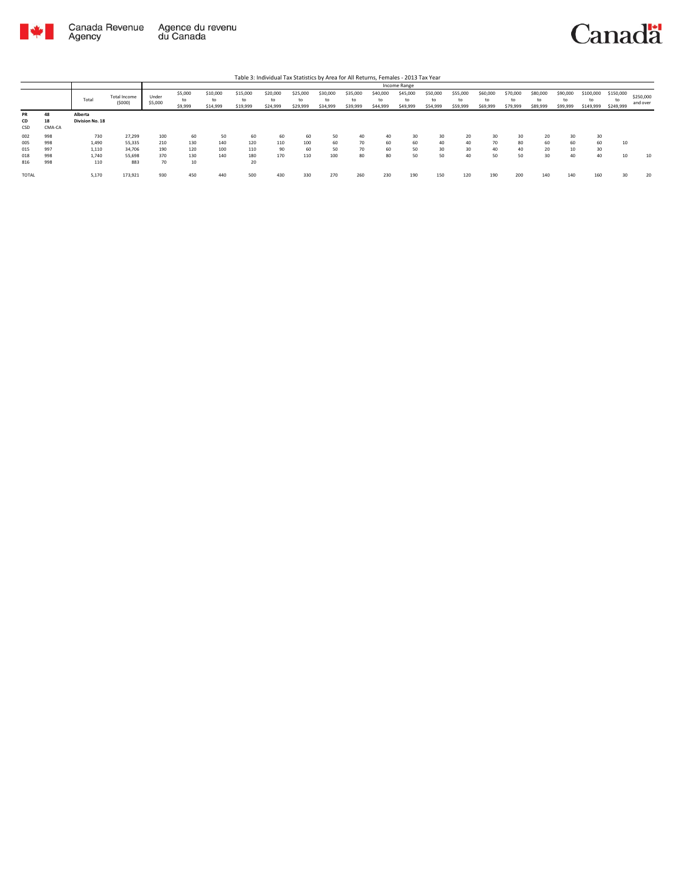

|                        |                    |                            |                        |                  |                          |                            |                            | Table 3: Individual Tax Statistics by Area for All Returns, Females - 2013 Tax Year |                            |                            |                            |                            |                            |                            |                            |                            |                            |                            |                            |                        |                              |                       |
|------------------------|--------------------|----------------------------|------------------------|------------------|--------------------------|----------------------------|----------------------------|-------------------------------------------------------------------------------------|----------------------------|----------------------------|----------------------------|----------------------------|----------------------------|----------------------------|----------------------------|----------------------------|----------------------------|----------------------------|----------------------------|------------------------|------------------------------|-----------------------|
|                        |                    |                            |                        |                  |                          |                            |                            |                                                                                     |                            |                            |                            |                            | Income Range               |                            |                            |                            |                            |                            |                            |                        |                              |                       |
|                        |                    | Total                      | Total Income<br>(5000) | Under<br>\$5,000 | \$5,000<br>to<br>\$9,999 | \$10,000<br>to<br>\$14,999 | \$15,000<br>to<br>\$19,999 | \$20,000<br>to<br>\$24,999                                                          | \$25,000<br>to<br>\$29,999 | \$30,000<br>to<br>\$34,999 | \$35,000<br>to<br>\$39,999 | \$40,000<br>to<br>\$44,999 | \$45,000<br>to<br>\$49,999 | \$50,000<br>to<br>\$54,999 | \$55,000<br>to<br>\$59,999 | \$60,000<br>to<br>\$69,999 | \$70,000<br>to<br>\$79,999 | \$80,000<br>to<br>\$89,999 | \$90,000<br>to<br>\$99,999 | \$100,000<br>\$149,999 | \$150,000<br>to<br>\$249,999 | \$250,000<br>and over |
| <b>PR</b><br>CD<br>CSD | 48<br>18<br>CMA-CA | Alberta<br>Division No. 18 |                        |                  |                          |                            |                            |                                                                                     |                            |                            |                            |                            |                            |                            |                            |                            |                            |                            |                            |                        |                              |                       |
| 002                    | 998                | 730                        | 27.299                 | 100              | 60                       | 50                         | 60                         | 60                                                                                  | 60                         | 50                         | 40                         | 40                         | 30                         | 30                         | 20                         | 30                         | 30                         | 20                         | 30                         | 30                     |                              |                       |
| 005                    | 998                | 1,490                      | 55,335                 | 210              | 130                      | 140                        | 120                        | 110                                                                                 | 100                        | 60                         | 70                         | 60                         | 60                         | 40                         | 40                         | 70                         | 80                         | 60                         | 60                         | 60                     | 10                           |                       |
| 015                    | 997                | 1,110                      | 34,706                 | 190              | 120                      | 100                        | 110                        | 90                                                                                  | 60                         | 50                         | 70                         | 60                         | 50                         | 30                         | 30                         | 40                         | 40                         | 20                         | 10                         | 30                     |                              |                       |
| 018                    | 998                | 1.740                      | 55.698                 | 370              | 130                      | 140                        | 180                        | 170                                                                                 | 110                        | 100                        | 80                         | 80                         | 50                         | 50                         | 40                         | 50                         | 50                         | 30                         | 40                         | 40                     | 10                           | 10                    |
| 816                    | 998                | 110                        | 883                    | 70               | 10                       |                            | 20                         |                                                                                     |                            |                            |                            |                            |                            |                            |                            |                            |                            |                            |                            |                        |                              |                       |
| <b>TOTAL</b>           |                    | 5,170                      | 173,921                | 930              | 450                      | 440                        | 500                        | 430                                                                                 | 330                        | 270                        | 260                        | 230                        | 190                        | 150                        | 120                        | 190                        | 200                        | 140                        | 140                        | 160                    | 3C                           | 20                    |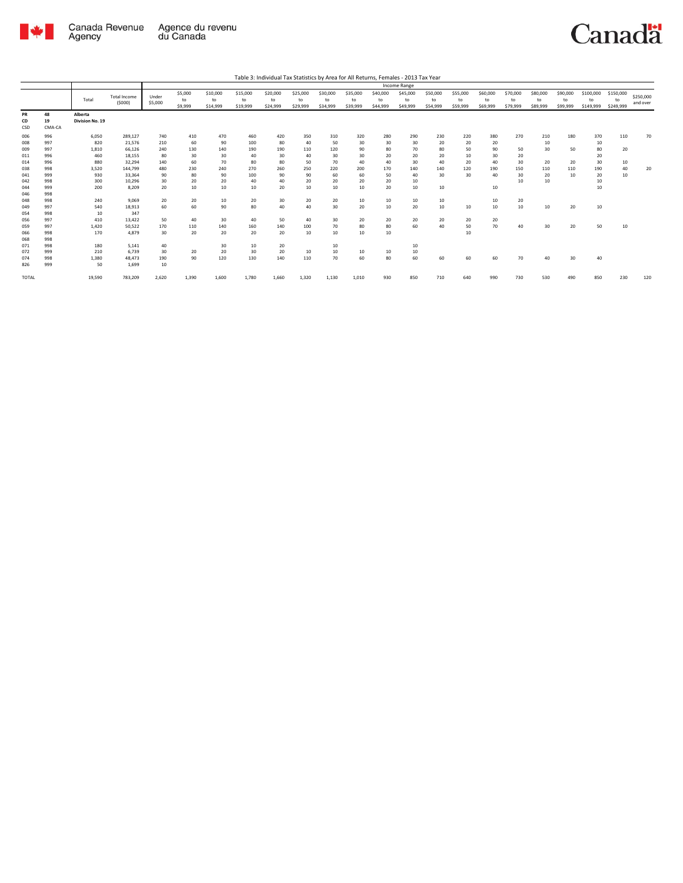

|                        |                    |                            |                               |                  |                          |                            |                            |                            |                            |                            |                            |                            | Income Range               |                            |                            |                            |                            |                            |                            |                              |                              |                       |
|------------------------|--------------------|----------------------------|-------------------------------|------------------|--------------------------|----------------------------|----------------------------|----------------------------|----------------------------|----------------------------|----------------------------|----------------------------|----------------------------|----------------------------|----------------------------|----------------------------|----------------------------|----------------------------|----------------------------|------------------------------|------------------------------|-----------------------|
|                        |                    | Total                      | <b>Total Income</b><br>(5000) | Under<br>\$5,000 | \$5,000<br>to<br>\$9,999 | \$10,000<br>to<br>\$14,999 | \$15,000<br>to<br>\$19,999 | \$20,000<br>to<br>\$24,999 | \$25,000<br>to<br>\$29,999 | \$30,000<br>to<br>\$34,999 | \$35,000<br>to<br>\$39,999 | \$40,000<br>to<br>\$44,999 | \$45,000<br>to<br>\$49,999 | \$50,000<br>to<br>\$54,999 | \$55,000<br>to<br>\$59,999 | \$60,000<br>to<br>\$69,999 | \$70,000<br>to<br>\$79,999 | \$80,000<br>to<br>\$89,999 | \$90,000<br>to<br>\$99,999 | \$100,000<br>to<br>\$149,999 | \$150,000<br>to<br>\$249,999 | \$250,000<br>and over |
| <b>PR</b><br>CD<br>CSD | 48<br>19<br>CMA-CA | Alberta<br>Division No. 19 |                               |                  |                          |                            |                            |                            |                            |                            |                            |                            |                            |                            |                            |                            |                            |                            |                            |                              |                              |                       |
| 006                    | 996                | 6,050                      | 289,127                       | 740              | 410                      | 470                        | 460                        | 420                        | 350                        | 310                        | 320                        | 280                        | 290                        | 230                        | 220                        | 380                        | 270                        | 210                        | 180                        | 370                          | 110                          | 70                    |
| 008                    | 997                | 820                        | 21,576                        | 210              | 60                       | 90                         | 100                        | 80                         | 40                         | 50                         | 30                         | 30                         | 30                         | 20                         | 20                         | 20                         |                            | 10                         |                            | 10                           |                              |                       |
| 009                    | 997                | 1,810                      | 66,126                        | 240              | 130                      | 140                        | 190                        | 190                        | 110                        | 120                        | 90                         | 80                         | 70                         | 80                         | 50                         | 90                         | 50                         | 30                         | 50                         | 80                           | 20                           |                       |
| 011                    | 996                | 460                        | 18,155                        | 80               | 30                       | 30                         | 40                         | 30                         | 40                         | 30                         | 30                         | 20                         | 20                         | 20                         | 10                         | 30                         | 20                         |                            |                            | 20                           |                              |                       |
| 014                    | 996                | 880                        | 32.294                        | 140              | 60                       | 70                         | 80                         | 80                         | 50                         | 70                         | 40                         | 40                         | 30                         | 40                         | 20                         | 40                         | 30                         | 20                         | 20                         | 30                           | 10                           |                       |
| 038                    | 998                | 3,520                      | 144,799                       | 480              | 230                      | 240                        | 270                        | 260                        | 250                        | 220                        | 200                        | 170                        | 140                        | 140                        | 120                        | 190                        | 150                        | 110                        | 110                        | 190                          | 40                           | 20                    |
| 041                    | 999                | 930                        | 33,364                        | 90               | 80                       | 90                         | 100                        | 90                         | 90                         | 60                         | 60                         | 50                         | 40                         | 30                         | 30                         | 40                         | 30                         | 20                         | 10                         | 20                           | 10                           |                       |
| 042                    | 998                | 300                        | 10.296                        | 30               | 20                       | 20                         | 40                         | 40                         | 20                         | 20                         | 20                         | 20                         | 10                         |                            |                            |                            | 10                         | 10                         |                            | 10                           |                              |                       |
| 044                    | 999                | 200                        | 8.209                         | 20               | 10                       | 10                         | 10                         | 20                         | 10                         | 10                         | 10                         | 20                         | 10                         | 10                         |                            | 10                         |                            |                            |                            | 10                           |                              |                       |
| 046                    | 998                |                            |                               |                  |                          |                            |                            |                            |                            |                            |                            |                            |                            |                            |                            |                            |                            |                            |                            |                              |                              |                       |
| 048                    | 998                | 240                        | 9,069                         | 20               | 20                       | 10                         | 20                         | 30                         | 20                         | 20                         | 10                         | 10                         | 10                         | 10                         |                            | 10                         | 20                         |                            |                            |                              |                              |                       |
| 049                    | 997                | 540                        | 18,913                        | 60               | 60                       | 90                         | 80                         | 40                         | 40                         | 30                         | 20                         | 10                         | 20                         | 10                         | 10                         | 10                         | 10                         | 10                         | 20                         | 10                           |                              |                       |
| 054                    | 998                | 10                         | 347                           |                  |                          |                            |                            |                            |                            |                            |                            |                            |                            |                            |                            |                            |                            |                            |                            |                              |                              |                       |
| 056                    | 997                | 410                        | 13.422                        | 50               | 40                       | 30                         | 40                         | 50                         | 40                         | 30                         | 20                         | 20                         | 20                         | 20                         | 20                         | 20                         |                            |                            |                            |                              |                              |                       |
| 059                    | 997                | 1.420                      | 50.522                        | 170              | 110                      | 140                        | 160                        | 140                        | 100                        | 70                         | 80                         | 80                         | 60                         | 40                         | 50                         | 70                         | 40                         | 30                         | 20                         | 50                           | 10                           |                       |
| 066                    | 998                | 170                        | 4.879                         | 30               | 20                       | 20                         | 20                         | 20                         | 10                         | 10                         | 10                         | 10                         |                            |                            | 10                         |                            |                            |                            |                            |                              |                              |                       |
| 068                    | 998                |                            |                               |                  |                          |                            |                            |                            |                            |                            |                            |                            |                            |                            |                            |                            |                            |                            |                            |                              |                              |                       |
| 071                    | 998                | 180                        | 5.141                         | 40               |                          | 30                         | 10                         | 20                         |                            | 10                         |                            |                            | 10                         |                            |                            |                            |                            |                            |                            |                              |                              |                       |
| 072                    | 999                | 210                        | 6,739                         | 30               | 20                       | 20                         | 30                         | 20                         | 10                         | 10                         | 10                         | 10                         | 10                         |                            |                            |                            |                            |                            |                            |                              |                              |                       |
| 074                    | 998                | 1,380                      | 48.473                        | 190              | 90                       | 120                        | 130                        | 140                        | 110                        | 70                         | 60                         | 80                         | 60                         | 60                         | 60                         | 60                         | 70                         | 40                         | 30                         | 40                           |                              |                       |
| 826                    | 999                | 50                         | 1,699                         | 10               |                          |                            |                            |                            |                            |                            |                            |                            |                            |                            |                            |                            |                            |                            |                            |                              |                              |                       |
| <b>TOTAL</b>           |                    | 19.590                     | 783,209                       | 2,620            | 1,390                    | 1.600                      | 1.780                      | 1,660                      | 1.320                      | 1,130                      | 1,010                      | 930                        | 850                        | 710                        | 640                        | 990                        | 730                        | 530                        | 490                        | 850                          | 230                          | 120                   |